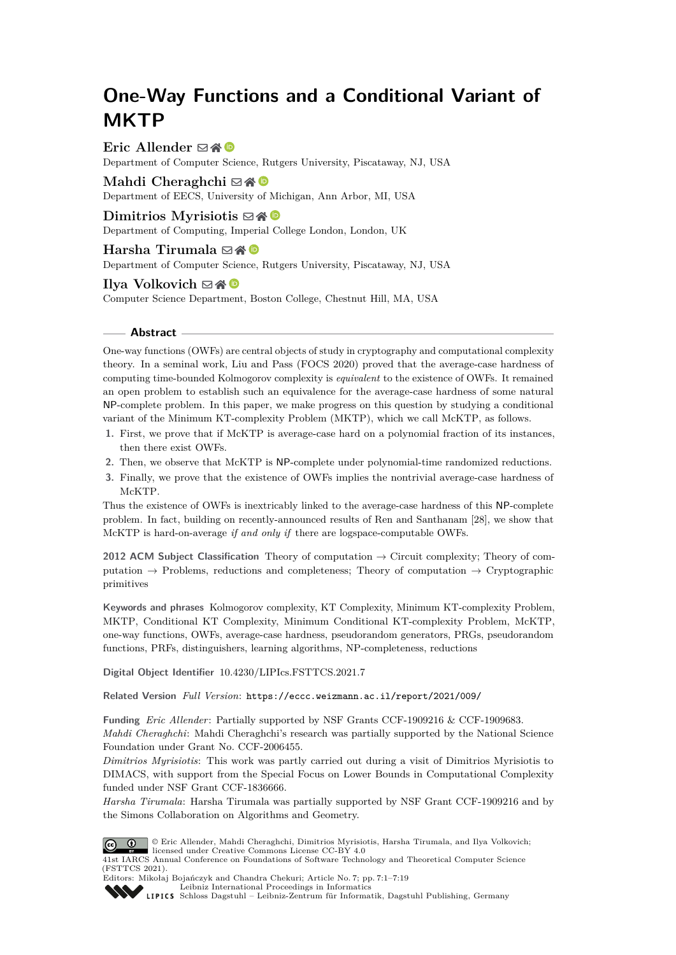# **One-Way Functions and a Conditional Variant of MKTP**

**Eric Allender** ⊠\* <sup>©</sup>

Department of Computer Science, Rutgers University, Piscataway, NJ, USA

**Mahdi Cheraghchi** ⊠\* <sup>■</sup> Department of EECS, University of Michigan, Ann Arbor, MI, USA

# $Dimittios$  Myrisiotis  $\boxtimes$   $\otimes$   $\otimes$

Department of Computing, Imperial College London, London, UK

Harsha Tirumala **⊠** A <sup>©</sup>

Department of Computer Science, Rutgers University, Piscataway, NJ, USA

#### **Ilya Volkovich**  $\boxtimes \bigotimes$

Computer Science Department, Boston College, Chestnut Hill, MA, USA

#### **Abstract**

One-way functions (OWFs) are central objects of study in cryptography and computational complexity theory. In a seminal work, Liu and Pass (FOCS 2020) proved that the average-case hardness of computing time-bounded Kolmogorov complexity is *equivalent* to the existence of OWFs. It remained an open problem to establish such an equivalence for the average-case hardness of some natural NP-complete problem. In this paper, we make progress on this question by studying a conditional variant of the Minimum KT-complexity Problem (MKTP), which we call McKTP, as follows.

- **1.** First, we prove that if McKTP is average-case hard on a polynomial fraction of its instances, then there exist OWFs.
- **2.** Then, we observe that McKTP is NP-complete under polynomial-time randomized reductions.
- **3.** Finally, we prove that the existence of OWFs implies the nontrivial average-case hardness of McKTP.

Thus the existence of OWFs is inextricably linked to the average-case hardness of this NP-complete problem. In fact, building on recently-announced results of Ren and Santhanam [\[28\]](#page-13-0), we show that McKTP is hard-on-average *if and only if* there are logspace-computable OWFs.

**2012 ACM Subject Classification** Theory of computation → Circuit complexity; Theory of computation  $\rightarrow$  Problems, reductions and completeness; Theory of computation  $\rightarrow$  Cryptographic primitives

**Keywords and phrases** Kolmogorov complexity, KT Complexity, Minimum KT-complexity Problem, MKTP, Conditional KT Complexity, Minimum Conditional KT-complexity Problem, McKTP, one-way functions, OWFs, average-case hardness, pseudorandom generators, PRGs, pseudorandom functions, PRFs, distinguishers, learning algorithms, NP-completeness, reductions

**Digital Object Identifier** [10.4230/LIPIcs.FSTTCS.2021.7](https://doi.org/10.4230/LIPIcs.FSTTCS.2021.7)

**Related Version** *Full Version*: <https://eccc.weizmann.ac.il/report/2021/009/>

**Funding** *Eric Allender*: Partially supported by NSF Grants CCF-1909216 & CCF-1909683.

*Mahdi Cheraghchi*: Mahdi Cheraghchi's research was partially supported by the National Science Foundation under Grant No. CCF-2006455.

*Dimitrios Myrisiotis*: This work was partly carried out during a visit of Dimitrios Myrisiotis to DIMACS, with support from the Special Focus on Lower Bounds in Computational Complexity funded under NSF Grant CCF-1836666.

*Harsha Tirumala*: Harsha Tirumala was partially supported by NSF Grant CCF-1909216 and by the Simons Collaboration on Algorithms and Geometry.



© Eric Allender, Mahdi Cheraghchi, Dimitrios Myrisiotis, Harsha Tirumala, and Ilya Volkovich; licensed under Creative Commons License CC-BY 4.0

41st IARCS Annual Conference on Foundations of Software Technology and Theoretical Computer Science (FSTTCS 2021).



Editors: Mikołaj Bojańczyk and Chandra Chekuri; Article No. 7; pp. 7:1–7:19 [Leibniz International Proceedings in Informatics](https://www.dagstuhl.de/lipics/)

[Schloss Dagstuhl – Leibniz-Zentrum für Informatik, Dagstuhl Publishing, Germany](https://www.dagstuhl.de)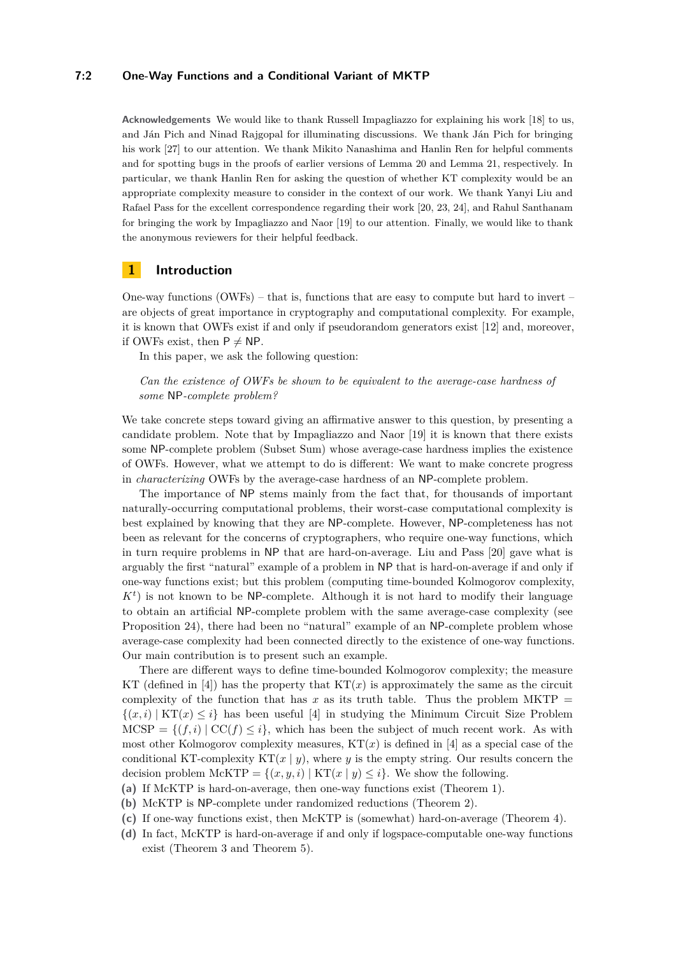#### **7:2 One-Way Functions and a Conditional Variant of MKTP**

**Acknowledgements** We would like to thank Russell Impagliazzo for explaining his work [\[18\]](#page-13-1) to us, and Ján Pich and Ninad Rajgopal for illuminating discussions. We thank Ján Pich for bringing his work [\[27\]](#page-13-2) to our attention. We thank Mikito Nanashima and Hanlin Ren for helpful comments and for spotting bugs in the proofs of earlier versions of Lemma [20](#page-9-0) and Lemma [21,](#page-9-1) respectively. In particular, we thank Hanlin Ren for asking the question of whether KT complexity would be an appropriate complexity measure to consider in the context of our work. We thank Yanyi Liu and Rafael Pass for the excellent correspondence regarding their work [\[20,](#page-13-3) [23,](#page-13-4) [24\]](#page-13-5), and Rahul Santhanam for bringing the work by Impagliazzo and Naor [\[19\]](#page-13-6) to our attention. Finally, we would like to thank the anonymous reviewers for their helpful feedback.

# **1 Introduction**

One-way functions (OWFs) – that is, functions that are easy to compute but hard to invert – are objects of great importance in cryptography and computational complexity. For example, it is known that OWFs exist if and only if pseudorandom generators exist [\[12\]](#page-12-0) and, moreover, if OWFs exist, then  $P \neq NP$ .

In this paper, we ask the following question:

*Can the existence of OWFs be shown to be equivalent to the average-case hardness of some* NP*-complete problem?*

We take concrete steps toward giving an affirmative answer to this question, by presenting a candidate problem. Note that by Impagliazzo and Naor [\[19\]](#page-13-6) it is known that there exists some NP-complete problem (Subset Sum) whose average-case hardness implies the existence of OWFs. However, what we attempt to do is different: We want to make concrete progress in *characterizing* OWFs by the average-case hardness of an NP-complete problem.

The importance of NP stems mainly from the fact that, for thousands of important naturally-occurring computational problems, their worst-case computational complexity is best explained by knowing that they are NP-complete. However, NP-completeness has not been as relevant for the concerns of cryptographers, who require one-way functions, which in turn require problems in NP that are hard-on-average. Liu and Pass [\[20\]](#page-13-3) gave what is arguably the first "natural" example of a problem in NP that is hard-on-average if and only if one-way functions exist; but this problem (computing time-bounded Kolmogorov complexity,  $K<sup>t</sup>$ ) is not known to be NP-complete. Although it is not hard to modify their language to obtain an artificial NP-complete problem with the same average-case complexity (see Proposition [24\)](#page-14-0), there had been no "natural" example of an NP-complete problem whose average-case complexity had been connected directly to the existence of one-way functions. Our main contribution is to present such an example.

There are different ways to define time-bounded Kolmogorov complexity; the measure KT (defined in  $[4]$ ) has the property that  $KT(x)$  is approximately the same as the circuit complexity of the function that has  $x$  as its truth table. Thus the problem MKTP  $=$  $\{(x, i) | KT(x) \leq i\}$  has been useful [\[4\]](#page-12-1) in studying the Minimum Circuit Size Problem  $MCSP = \{ (f, i) | CC(f) \leq i \}$ , which has been the subject of much recent work. As with most other Kolmogorov complexity measures,  $KT(x)$  is defined in [\[4\]](#page-12-1) as a special case of the conditional KT-complexity  $KT(x | y)$ , where *y* is the empty string. Our results concern the decision problem McKTP =  $\{(x, y, i) | KT(x | y) \leq i\}$ . We show the following.

- <span id="page-1-0"></span>**(a)** If McKTP is hard-on-average, then one-way functions exist (Theorem [1\)](#page-3-0).
- **(b)** McKTP is NP-complete under randomized reductions (Theorem [2\)](#page-3-1).
- <span id="page-1-1"></span>**(c)** If one-way functions exist, then McKTP is (somewhat) hard-on-average (Theorem [4\)](#page-3-2).
- <span id="page-1-2"></span>**(d)** In fact, McKTP is hard-on-average if and only if logspace-computable one-way functions exist (Theorem [3](#page-3-3) and Theorem [5\)](#page-3-4).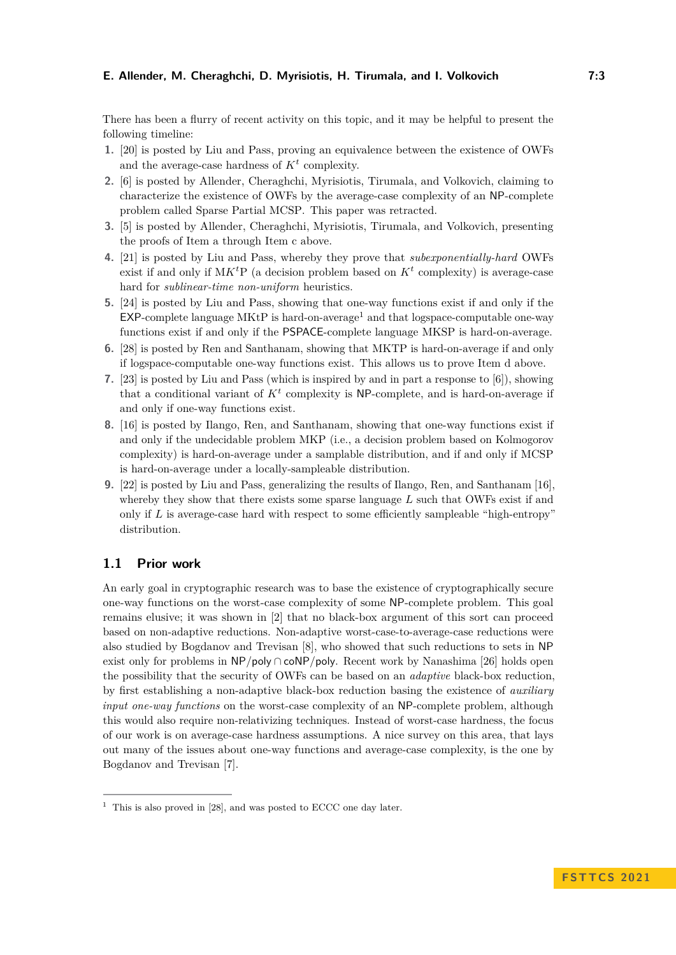There has been a flurry of recent activity on this topic, and it may be helpful to present the following timeline:

- **1.** [\[20\]](#page-13-3) is posted by Liu and Pass, proving an equivalence between the existence of OWFs and the average-case hardness of  $K<sup>t</sup>$  complexity.
- **2.** [\[6\]](#page-12-2) is posted by Allender, Cheraghchi, Myrisiotis, Tirumala, and Volkovich, claiming to characterize the existence of OWFs by the average-case complexity of an NP-complete problem called Sparse Partial MCSP. This paper was retracted.
- **3.** [\[5\]](#page-12-3) is posted by Allender, Cheraghchi, Myrisiotis, Tirumala, and Volkovich, presenting the proofs of Item [a](#page-1-0) through Item [c](#page-1-1) above.
- **4.** [\[21\]](#page-13-7) is posted by Liu and Pass, whereby they prove that *subexponentially-hard* OWFs exist if and only if  $MK<sup>t</sup>P$  (a decision problem based on  $K<sup>t</sup>$  complexity) is average-case hard for *sublinear-time non-uniform* heuristics.
- **5.** [\[24\]](#page-13-5) is posted by Liu and Pass, showing that one-way functions exist if and only if the  $EXP$ -complete language MKtP is hard-on-average<sup>[1](#page-2-0)</sup> and that logspace-computable one-way functions exist if and only if the PSPACE-complete language MKSP is hard-on-average.
- **6.** [\[28\]](#page-13-0) is posted by Ren and Santhanam, showing that MKTP is hard-on-average if and only if logspace-computable one-way functions exist. This allows us to prove Item [d](#page-1-2) above.
- **7.** [\[23\]](#page-13-4) is posted by Liu and Pass (which is inspired by and in part a response to [\[6\]](#page-12-2)), showing that a conditional variant of  $K<sup>t</sup>$  complexity is NP-complete, and is hard-on-average if and only if one-way functions exist.
- **8.** [\[16\]](#page-13-8) is posted by Ilango, Ren, and Santhanam, showing that one-way functions exist if and only if the undecidable problem MKP (i.e., a decision problem based on Kolmogorov complexity) is hard-on-average under a samplable distribution, and if and only if MCSP is hard-on-average under a locally-sampleable distribution.
- **9.** [\[22\]](#page-13-9) is posted by Liu and Pass, generalizing the results of Ilango, Ren, and Santhanam [\[16\]](#page-13-8), whereby they show that there exists some sparse language *L* such that OWFs exist if and only if *L* is average-case hard with respect to some efficiently sampleable "high-entropy" distribution.

# **1.1 Prior work**

An early goal in cryptographic research was to base the existence of cryptographically secure one-way functions on the worst-case complexity of some NP-complete problem. This goal remains elusive; it was shown in [\[2\]](#page-12-4) that no black-box argument of this sort can proceed based on non-adaptive reductions. Non-adaptive worst-case-to-average-case reductions were also studied by Bogdanov and Trevisan [\[8\]](#page-12-5), who showed that such reductions to sets in NP exist only for problems in NP*/*poly ∩ coNP*/*poly. Recent work by Nanashima [\[26\]](#page-13-10) holds open the possibility that the security of OWFs can be based on an *adaptive* black-box reduction, by first establishing a non-adaptive black-box reduction basing the existence of *auxiliary input one-way functions* on the worst-case complexity of an NP-complete problem, although this would also require non-relativizing techniques. Instead of worst-case hardness, the focus of our work is on average-case hardness assumptions. A nice survey on this area, that lays out many of the issues about one-way functions and average-case complexity, is the one by Bogdanov and Trevisan [\[7\]](#page-12-6).

<span id="page-2-0"></span> $1$  This is also proved in [\[28\]](#page-13-0), and was posted to ECCC one day later.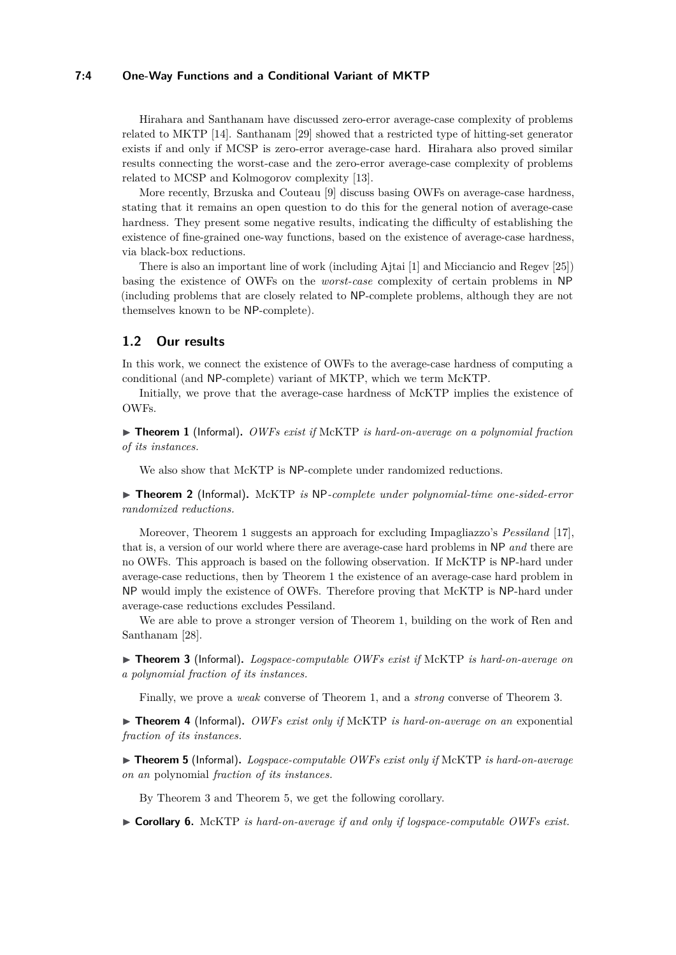#### **7:4 One-Way Functions and a Conditional Variant of MKTP**

Hirahara and Santhanam have discussed zero-error average-case complexity of problems related to MKTP [\[14\]](#page-13-11). Santhanam [\[29\]](#page-13-12) showed that a restricted type of hitting-set generator exists if and only if MCSP is zero-error average-case hard. Hirahara also proved similar results connecting the worst-case and the zero-error average-case complexity of problems related to MCSP and Kolmogorov complexity [\[13\]](#page-13-13).

More recently, Brzuska and Couteau [\[9\]](#page-12-7) discuss basing OWFs on average-case hardness, stating that it remains an open question to do this for the general notion of average-case hardness. They present some negative results, indicating the difficulty of establishing the existence of fine-grained one-way functions, based on the existence of average-case hardness, via black-box reductions.

There is also an important line of work (including Ajtai [\[1\]](#page-12-8) and Micciancio and Regev [\[25\]](#page-13-14)) basing the existence of OWFs on the *worst-case* complexity of certain problems in NP (including problems that are closely related to NP-complete problems, although they are not themselves known to be NP-complete).

# **1.2 Our results**

In this work, we connect the existence of OWFs to the average-case hardness of computing a conditional (and NP-complete) variant of MKTP, which we term McKTP.

Initially, we prove that the average-case hardness of McKTP implies the existence of OWFs.

<span id="page-3-0"></span>▶ **Theorem 1** (Informal)**.** *OWFs exist if* McKTP *is hard-on-average on a polynomial fraction of its instances.*

We also show that McKTP is NP-complete under randomized reductions.

<span id="page-3-1"></span>▶ **Theorem 2** (Informal)**.** McKTP *is* NP*-complete under polynomial-time one-sided-error randomized reductions.*

Moreover, Theorem [1](#page-3-0) suggests an approach for excluding Impagliazzo's *Pessiland* [\[17\]](#page-13-15), that is, a version of our world where there are average-case hard problems in NP *and* there are no OWFs. This approach is based on the following observation. If McKTP is NP-hard under average-case reductions, then by Theorem [1](#page-3-0) the existence of an average-case hard problem in NP would imply the existence of OWFs. Therefore proving that McKTP is NP-hard under average-case reductions excludes Pessiland.

We are able to prove a stronger version of Theorem [1,](#page-3-0) building on the work of Ren and Santhanam [\[28\]](#page-13-0).

<span id="page-3-3"></span>▶ **Theorem 3** (Informal)**.** *Logspace-computable OWFs exist if* McKTP *is hard-on-average on a polynomial fraction of its instances.*

Finally, we prove a *weak* converse of Theorem [1,](#page-3-0) and a *strong* converse of Theorem [3.](#page-3-3)

<span id="page-3-2"></span>▶ **Theorem 4** (Informal)**.** *OWFs exist only if* McKTP *is hard-on-average on an* exponential *fraction of its instances.*

<span id="page-3-4"></span>▶ **Theorem 5** (Informal)**.** *Logspace-computable OWFs exist only if* McKTP *is hard-on-average on an* polynomial *fraction of its instances.*

By Theorem [3](#page-3-3) and Theorem [5,](#page-3-4) we get the following corollary.

▶ **Corollary 6.** McKTP *is hard-on-average if and only if logspace-computable OWFs exist.*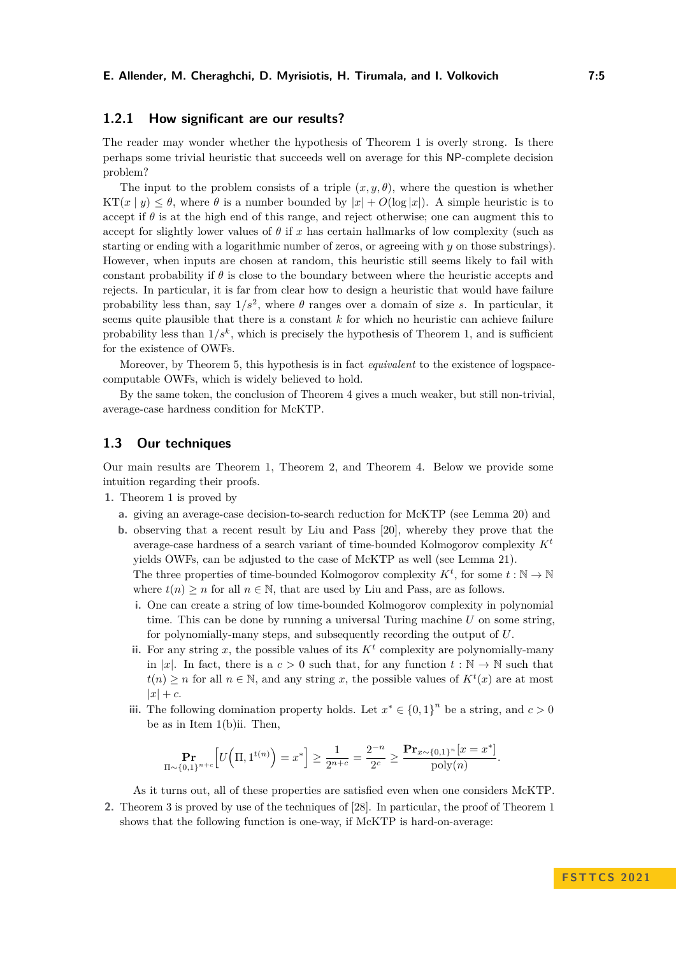# **1.2.1 How significant are our results?**

The reader may wonder whether the hypothesis of Theorem [1](#page-3-0) is overly strong. Is there perhaps some trivial heuristic that succeeds well on average for this NP-complete decision problem?

The input to the problem consists of a triple  $(x, y, \theta)$ , where the question is whether  $KT(x | y) \leq \theta$ , where  $\theta$  is a number bounded by  $|x| + O(\log|x|)$ . A simple heuristic is to accept if  $\theta$  is at the high end of this range, and reject otherwise; one can augment this to accept for slightly lower values of  $\theta$  if x has certain hallmarks of low complexity (such as starting or ending with a logarithmic number of zeros, or agreeing with *y* on those substrings). However, when inputs are chosen at random, this heuristic still seems likely to fail with constant probability if *θ* is close to the boundary between where the heuristic accepts and rejects. In particular, it is far from clear how to design a heuristic that would have failure probability less than, say  $1/s^2$ , where  $\theta$  ranges over a domain of size *s*. In particular, it seems quite plausible that there is a constant *k* for which no heuristic can achieve failure probability less than  $1/s^k$ , which is precisely the hypothesis of Theorem [1,](#page-3-0) and is sufficient for the existence of OWFs.

Moreover, by Theorem [5,](#page-3-4) this hypothesis is in fact *equivalent* to the existence of logspacecomputable OWFs, which is widely believed to hold.

By the same token, the conclusion of Theorem [4](#page-3-2) gives a much weaker, but still non-trivial, average-case hardness condition for McKTP.

# **1.3 Our techniques**

Our main results are Theorem [1,](#page-3-0) Theorem [2,](#page-3-1) and Theorem [4.](#page-3-2) Below we provide some intuition regarding their proofs.

- **1.** Theorem [1](#page-3-0) is proved by
	- **a.** giving an average-case decision-to-search reduction for McKTP (see Lemma [20\)](#page-9-0) and
	- **b.** observing that a recent result by Liu and Pass [\[20\]](#page-13-3), whereby they prove that the average-case hardness of a search variant of time-bounded Kolmogorov complexity *K<sup>t</sup>* yields OWFs, can be adjusted to the case of McKTP as well (see Lemma [21\)](#page-9-1). The three properties of time-bounded Kolmogorov complexity  $K^t$ , for some  $t : \mathbb{N} \to \mathbb{N}$

where  $t(n) \geq n$  for all  $n \in \mathbb{N}$ , that are used by Liu and Pass, are as follows.

- **i.** One can create a string of low time-bounded Kolmogorov complexity in polynomial time. This can be done by running a universal Turing machine *U* on some string, for polynomially-many steps, and subsequently recording the output of *U*.
- <span id="page-4-0"></span>ii. For any string  $x$ , the possible values of its  $K<sup>t</sup>$  complexity are polynomially-many in |*x*|. In fact, there is a  $c > 0$  such that, for any function  $t : \mathbb{N} \to \mathbb{N}$  such that *t*(*n*) ≥ *n* for all *n* ∈ N, and any string *x*, the possible values of  $K<sup>t</sup>(x)$  are at most  $|x| + c$ .
- iii. The following domination property holds. Let  $x^* \in \{0,1\}^n$  be a string, and  $c > 0$ be as in Item [1\(b\)ii.](#page-4-0) Then,

$$
\Pr_{\Pi \sim \{0,1\}^{n+c}} \left[ U\Big(\Pi, 1^{t(n)}\Big) = x^* \right] \ge \frac{1}{2^{n+c}} = \frac{2^{-n}}{2^c} \ge \frac{\mathbf{Pr}_{x \sim \{0,1\}^n}[x = x^*]}{\text{poly}(n)}.
$$

As it turns out, all of these properties are satisfied even when one considers McKTP.

**2.** Theorem [3](#page-3-3) is proved by use of the techniques of [\[28\]](#page-13-0). In particular, the proof of Theorem [1](#page-3-0) shows that the following function is one-way, if McKTP is hard-on-average: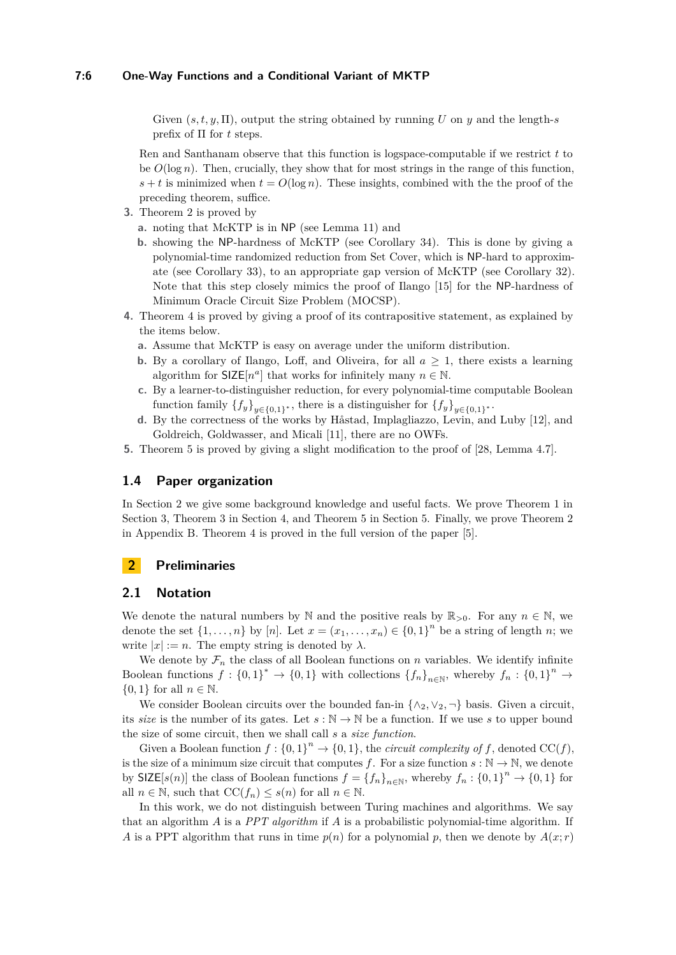Given  $(s, t, y, \Pi)$ , output the string obtained by running *U* on *y* and the length-*s* prefix of Π for *t* steps.

Ren and Santhanam observe that this function is logspace-computable if we restrict *t* to be  $O(\log n)$ . Then, crucially, they show that for most strings in the range of this function,  $s + t$  is minimized when  $t = O(\log n)$ . These insights, combined with the the proof of the preceding theorem, suffice.

- **3.** Theorem [2](#page-3-1) is proved by
	- **a.** noting that McKTP is in NP (see Lemma [11\)](#page-7-0) and
	- **b.** showing the NP-hardness of McKTP (see Corollary [34\)](#page-18-0). This is done by giving a polynomial-time randomized reduction from Set Cover, which is NP-hard to approximate (see Corollary [33\)](#page-18-1), to an appropriate gap version of McKTP (see Corollary [32\)](#page-18-2). Note that this step closely mimics the proof of Ilango [\[15\]](#page-13-16) for the NP-hardness of Minimum Oracle Circuit Size Problem (MOCSP).
- **4.** Theorem [4](#page-3-2) is proved by giving a proof of its contrapositive statement, as explained by the items below.
	- **a.** Assume that McKTP is easy on average under the uniform distribution.
	- **b.** By a corollary of Ilango, Loff, and Oliveira, for all  $a \geq 1$ , there exists a learning algorithm for  $SIZE[n^a]$  that works for infinitely many  $n \in \mathbb{N}$ .
	- **c.** By a learner-to-distinguisher reduction, for every polynomial-time computable Boolean function family  $\{f_y\}_{y \in \{0,1\}^*}$ , there is a distinguisher for  $\{f_y\}_{y \in \{0,1\}^*}$ .
	- **d.** By the correctness of the works by Håstad, Implagliazzo, Levin, and Luby [\[12\]](#page-12-0), and Goldreich, Goldwasser, and Micali [\[11\]](#page-12-9), there are no OWFs.
- **5.** Theorem [5](#page-3-4) is proved by giving a slight modification to the proof of [\[28,](#page-13-0) Lemma 4.7].

# **1.4 Paper organization**

In Section [2](#page-5-0) we give some background knowledge and useful facts. We prove Theorem [1](#page-3-0) in Section [3,](#page-8-0) Theorem [3](#page-3-3) in Section [4,](#page-11-0) and Theorem [5](#page-3-4) in Section [5.](#page-12-10) Finally, we prove Theorem [2](#page-3-1) in Appendix [B.](#page-15-0) Theorem [4](#page-3-2) is proved in the full version of the paper [\[5\]](#page-12-3).

# <span id="page-5-0"></span>**2 Preliminaries**

#### **2.1 Notation**

We denote the natural numbers by N and the positive reals by  $\mathbb{R}_{>0}$ . For any  $n \in \mathbb{N}$ , we denote the set  $\{1, \ldots, n\}$  by  $[n]$ . Let  $x = (x_1, \ldots, x_n) \in \{0, 1\}^n$  be a string of length *n*; we write  $|x| := n$ . The empty string is denoted by  $\lambda$ .

We denote by  $\mathcal{F}_n$  the class of all Boolean functions on  $n$  variables. We identify infinite Boolean functions  $f: \{0,1\}^* \to \{0,1\}$  with collections  $\{f_n\}_{n\in\mathbb{N}}$ , whereby  $f_n: \{0,1\}^n \to$  $\{0,1\}$  for all  $n \in \mathbb{N}$ .

We consider Boolean circuits over the bounded fan-in  $\{\wedge_2, \vee_2, \neg\}$  basis. Given a circuit, its *size* is the number of its gates. Let  $s : \mathbb{N} \to \mathbb{N}$  be a function. If we use *s* to upper bound the size of some circuit, then we shall call *s* a *size function*.

Given a Boolean function  $f: \{0,1\}^n \to \{0,1\}$ , the *circuit complexity of*  $f$ , denoted  $CC(f)$ , is the size of a minimum size circuit that computes *f*. For a size function  $s : \mathbb{N} \to \mathbb{N}$ , we denote by  $\text{SIZE}[s(n)]$  the class of Boolean functions  $f = \{f_n\}_{n \in \mathbb{N}}$ , whereby  $f_n : \{0,1\}^n \to \{0,1\}$  for all  $n \in \mathbb{N}$ , such that  $\mathrm{CC}(f_n) \leq s(n)$  for all  $n \in \mathbb{N}$ .

In this work, we do not distinguish between Turing machines and algorithms. We say that an algorithm *A* is a *PPT algorithm* if *A* is a probabilistic polynomial-time algorithm. If *A* is a PPT algorithm that runs in time  $p(n)$  for a polynomial p, then we denote by  $A(x; r)$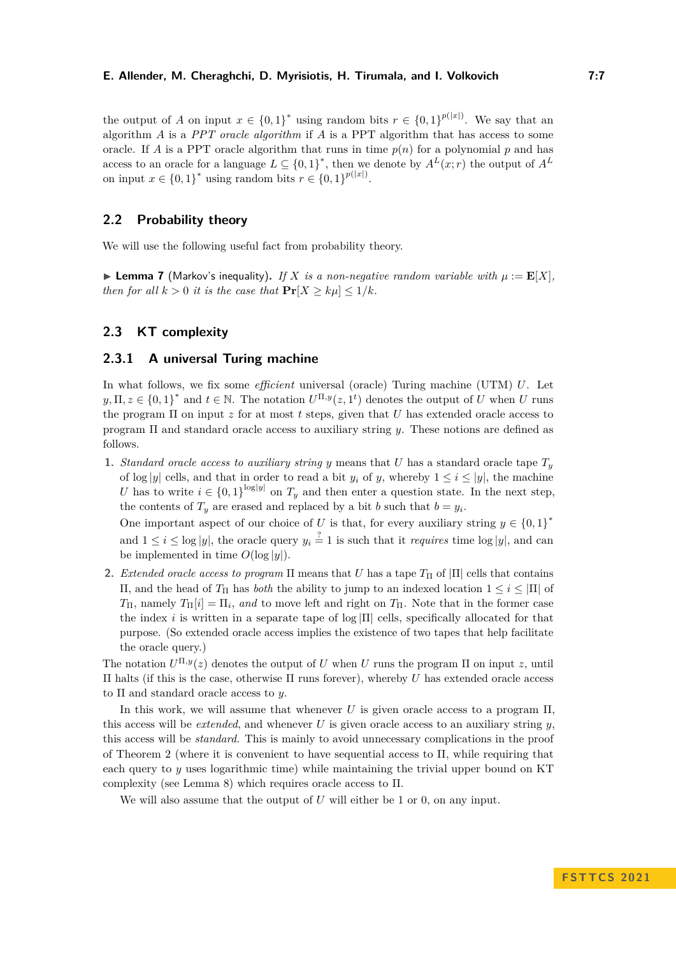the output of *A* on input  $x \in \{0,1\}^*$  using random bits  $r \in \{0,1\}^{p(|x|)}$ . We say that an algorithm *A* is a *PPT oracle algorithm* if *A* is a PPT algorithm that has access to some oracle. If *A* is a PPT oracle algorithm that runs in time  $p(n)$  for a polynomial *p* and has access to an oracle for a language  $L \subseteq \{0,1\}^*$ , then we denote by  $A^L(x; r)$  the output of  $A^L$ on input  $x \in \{0,1\}^*$  using random bits  $r \in \{0,1\}^{p(|x|)}$ .

# **2.2 Probability theory**

<span id="page-6-0"></span>We will use the following useful fact from probability theory.

 $\blacktriangleright$  **Lemma 7** (Markov's inequality). If X is a non-negative random variable with  $\mu := \mathbf{E}[X]$ , *then for all*  $k > 0$  *it is the case that*  $\Pr[X \ge k\mu] \le 1/k$ .

# **2.3 KT complexity**

### **2.3.1 A universal Turing machine**

In what follows, we fix some *efficient* universal (oracle) Turing machine (UTM) *U*. Let  $y, \Pi, z \in \{0, 1\}^*$  and  $t \in \mathbb{N}$ . The notation  $U^{\Pi, y}(z, 1^t)$  denotes the output of *U* when *U* runs the program Π on input *z* for at most *t* steps, given that *U* has extended oracle access to program Π and standard oracle access to auxiliary string *y*. These notions are defined as follows.

**1.** *Standard oracle access to auxiliary string y* means that *U* has a standard oracle tape  $T_y$ of  $\log |y|$  cells, and that in order to read a bit  $y_i$  of  $y$ , whereby  $1 \leq i \leq |y|$ , the machine *U* has to write  $i \in \{0,1\}^{\log|y|}$  on  $T_y$  and then enter a question state. In the next step, the contents of  $T_y$  are erased and replaced by a bit *b* such that  $b = y_i$ .

One important aspect of our choice of *U* is that, for every auxiliary string  $y \in \{0,1\}^*$ and  $1 \leq i \leq \log |y|$ , the oracle query  $y_i \stackrel{?}{=} 1$  is such that it *requires* time  $\log |y|$ , and can be implemented in time  $O(\log |y|)$ .

**2.** *Extended oracle access to program*  $\Pi$  means that *U* has a tape  $T_{\Pi}$  of  $|\Pi|$  cells that contains Π, and the head of *T*<sup>Π</sup> has *both* the ability to jump to an indexed location 1 ≤ *i* ≤ |Π| of *T*<sub>Π</sub>, namely *T*<sub>Π</sub>[*i*] =  $\Pi$ <sub>*i*</sub>, *and* to move left and right on *T*<sub>Π</sub>. Note that in the former case the index *i* is written in a separate tape of  $log|\Pi|$  cells, specifically allocated for that purpose. (So extended oracle access implies the existence of two tapes that help facilitate the oracle query.)

The notation  $U^{\Pi,y}(z)$  denotes the output of *U* when *U* runs the program  $\Pi$  on input *z*, until Π halts (if this is the case, otherwise Π runs forever), whereby *U* has extended oracle access to Π and standard oracle access to *y*.

In this work, we will assume that whenever *U* is given oracle access to a program Π, this access will be *extended*, and whenever *U* is given oracle access to an auxiliary string *y*, this access will be *standard*. This is mainly to avoid unnecessary complications in the proof of Theorem [2](#page-3-1) (where it is convenient to have sequential access to  $\Pi$ , while requiring that each query to *y* uses logarithmic time) while maintaining the trivial upper bound on KT complexity (see Lemma [8\)](#page-7-1) which requires oracle access to Π.

We will also assume that the output of *U* will either be 1 or 0, on any input.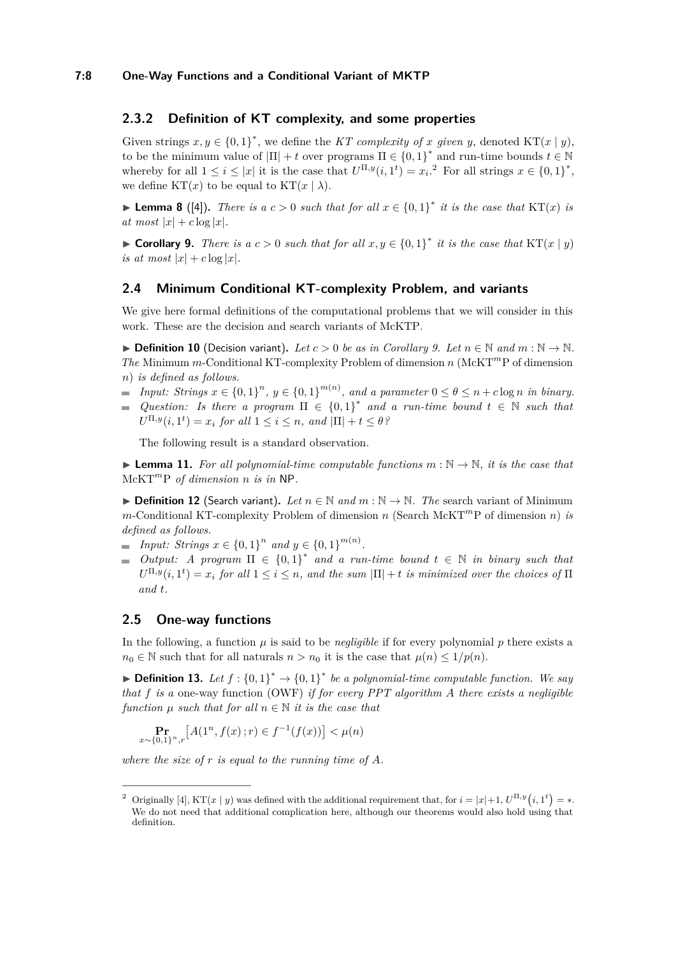# **2.3.2 Definition of KT complexity, and some properties**

Given strings  $x, y \in \{0, 1\}^*$ , we define the *KT complexity of x given y*, denoted KT(*x* | *y*), to be the minimum value of  $|\Pi| + t$  over programs  $\Pi \in \{0,1\}^*$  and run-time bounds  $t \in \mathbb{N}$ whereby for all  $1 \leq i \leq |x|$  it is the case that  $U^{\Pi,y}(i,1^t) = x_i$ .<sup>[2](#page-7-2)</sup> For all strings  $x \in \{0,1\}^*$ , we define  $KT(x)$  to be equal to  $KT(x | \lambda)$ .

<span id="page-7-1"></span>▶ **Lemma 8** ([\[4\]](#page-12-1)). *There is a*  $c > 0$  *such that for all*  $x \in \{0,1\}^*$  *it is the case that* KT(*x*) *is*  $at most |x| + c log |x|$ .

<span id="page-7-3"></span>▶ **Corollary 9.** *There is a c* > 0 *such that for all*  $x, y \in \{0, 1\}^*$  *it is the case that* KT(*x* | *y*) *is at most*  $|x| + c \log |x|$ .

#### **2.4 Minimum Conditional KT-complexity Problem, and variants**

We give here formal definitions of the computational problems that we will consider in this work. These are the decision and search variants of McKTP.

▶ **Definition 10** (Decision variant). Let  $c > 0$  be as in Corollary [9.](#page-7-3) Let  $n \in \mathbb{N}$  and  $m : \mathbb{N} \to \mathbb{N}$ . *The* Minimum *m*-Conditional KT-complexity Problem of dimension *n* (McKT*m*P of dimension *n*) *is defined as follows.*

- *Input: Strings*  $x \in \{0,1\}^n$ ,  $y \in \{0,1\}^{m(n)}$ , and a parameter  $0 \le \theta \le n + c \log n$  *in binary.*
- *Question: Is there a program*  $\Pi \in \{0,1\}^*$  *and a run-time bound*  $t \in \mathbb{N}$  *such that*  $U^{\Pi,y}(i,1^t) = x_i$  *for all*  $1 \leq i \leq n$ *, and*  $|\Pi| + t \leq \theta$ ?

The following result is a standard observation.

<span id="page-7-0"></span> $\blacktriangleright$  **Lemma 11.** For all polynomial-time computable functions  $m : \mathbb{N} \to \mathbb{N}$ , it is the case that McKT*<sup>m</sup>*P *of dimension n is in* NP*.*

▶ **Definition 12** (Search variant)**.** *Let n* ∈ N *and m* : N → N*. The* search variant of Minimum *m*-Conditional KT-complexity Problem of dimension *n* (Search McKT*<sup>m</sup>*P of dimension *n*) *is defined as follows.*

- *Input: Strings*  $x \in \{0,1\}^n$  *and*  $y \in \{0,1\}^{m(n)}$ *.*
- *Output: A program*  $\Pi \in \{0,1\}^*$  and a run-time bound  $t \in \mathbb{N}$  in binary such that  $U^{\Pi,y}(i,1^t) = x_i$  *for all*  $1 \leq i \leq n$ *, and the sum*  $|\Pi| + t$  *is minimized over the choices of*  $\Pi$ *and t.*

# **2.5 One-way functions**

*x*∼{0*,*1}

In the following, a function  $\mu$  is said to be *negligible* if for every polynomial  $p$  there exists a  $n_0 \in \mathbb{N}$  such that for all naturals  $n > n_0$  it is the case that  $\mu(n) \leq 1/p(n)$ .

▶ **Definition 13.** Let  $f : \{0,1\}^* \to \{0,1\}^*$  be a polynomial-time computable function. We say *that f is a* one-way function (OWF) *if for every PPT algorithm A there exists a negligible function*  $\mu$  *such that for all*  $n \in \mathbb{N}$  *it is the case that* 

$$
\Pr_{\sim \{0,1\}^n, r} \left[ A(1^n, f(x); r) \in f^{-1}(f(x)) \right] < \mu(n)
$$

*where the size of r is equal to the running time of A.*

<span id="page-7-2"></span><sup>&</sup>lt;sup>2</sup> Originally [\[4\]](#page-12-1), KT(*x* | *y*) was defined with the additional requirement that, for  $i = |x|+1$ ,  $U^{\Pi,y}(i,1^t) = *$ . We do not need that additional complication here, although our theorems would also hold using that definition.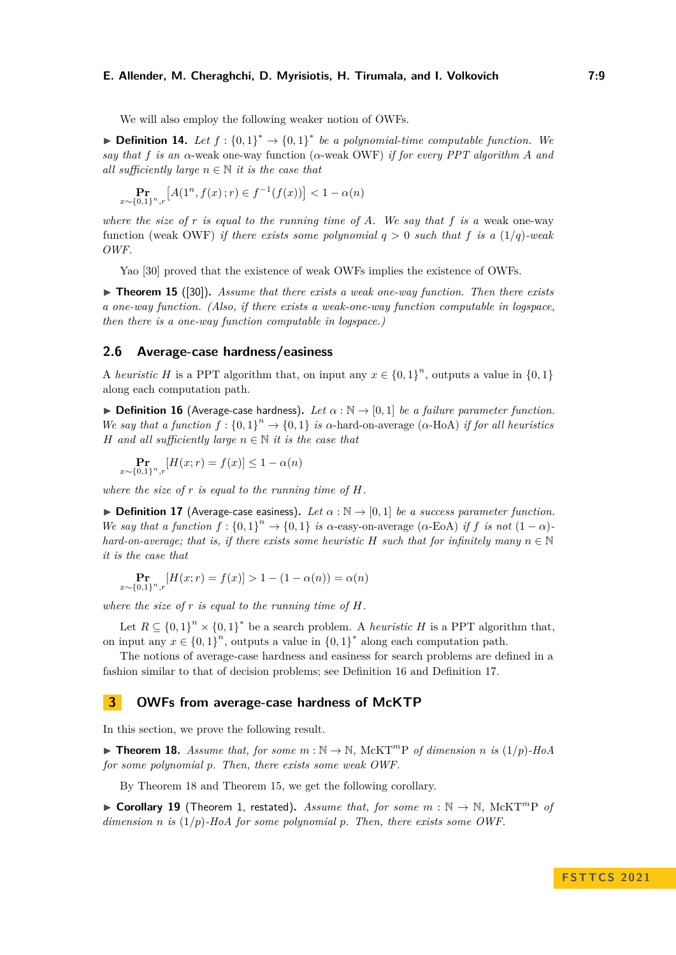We will also employ the following weaker notion of OWFs.

▶ **Definition 14.** Let  $f: \{0,1\}^* \rightarrow \{0,1\}^*$  be a polynomial-time computable function. We *say that f is an α*-weak one-way function (*α*-weak OWF) *if for every PPT algorithm A and all sufficiently large*  $n \in \mathbb{N}$  *it is the case that* 

$$
\Pr_{x \sim \{0,1\}^n, r} \left[ A(1^n, f(x); r) \in f^{-1}(f(x)) \right] < 1 - \alpha(n)
$$

*where the size of r is equal to the running time of A. We say that f is a* weak one-way function (weak OWF) *if there exists some polynomial*  $q > 0$  *such that*  $f$  *is a* (1/q)*-weak OWF.*

Yao [\[30\]](#page-13-17) proved that the existence of weak OWFs implies the existence of OWFs.

<span id="page-8-4"></span>▶ **Theorem 15** ([\[30\]](#page-13-17))**.** *Assume that there exists a weak one-way function. Then there exists a one-way function. (Also, if there exists a weak-one-way function computable in logspace, then there is a one-way function computable in logspace.)*

# **2.6 Average-case hardness/easiness**

A *heuristic H* is a PPT algorithm that, on input any  $x \in \{0,1\}^n$ , outputs a value in  $\{0,1\}$ along each computation path.

<span id="page-8-1"></span>**► Definition 16** (Average-case hardness). Let  $\alpha : \mathbb{N} \to [0,1]$  be a failure parameter function. *We say that a function*  $f: \{0,1\}^n \to \{0,1\}$  *is*  $\alpha$ -hard-on-average ( $\alpha$ -HoA) *if for all heuristics H and all sufficiently large*  $n \in \mathbb{N}$  *it is the case that* 

$$
\Pr_{x \sim \{0,1\}^n, r} [H(x; r) = f(x)] \le 1 - \alpha(n)
$$

*where the size of r is equal to the running time of H.*

<span id="page-8-2"></span>**• Definition 17** (Average-case easiness). Let  $\alpha : \mathbb{N} \to [0,1]$  be a success parameter function. *We say that a function*  $f: \{0,1\}^n \to \{0,1\}$  *is*  $\alpha$ *-easy-on-average* ( $\alpha$ -EoA) *if*  $f$  *is not*  $(1-\alpha)$ *hard-on-average; that is, if there exists some heuristic*  $H$  *such that for infinitely many*  $n \in \mathbb{N}$ *it is the case that*

$$
\Pr_{x \sim \{0,1\}^n, r} [H(x; r) = f(x)] > 1 - (1 - \alpha(n)) = \alpha(n)
$$

*where the size of r is equal to the running time of H.*

Let  $R \subseteq \{0,1\}^n \times \{0,1\}^*$  be a search problem. A *heuristic H* is a PPT algorithm that, on input any  $x \in \{0,1\}^n$ , outputs a value in  $\{0,1\}^*$  along each computation path.

The notions of average-case hardness and easiness for search problems are defined in a fashion similar to that of decision problems; see Definition [16](#page-8-1) and Definition [17.](#page-8-2)

# <span id="page-8-0"></span>**3 OWFs from average-case hardness of McKTP**

<span id="page-8-3"></span>In this section, we prove the following result.

 $\triangleright$  **Theorem 18.** Assume that, for some  $m : \mathbb{N} \to \mathbb{N}$ , McKT<sup>m</sup>P of dimension *n* is  $(1/p)$ -HoA *for some polynomial p. Then, there exists some weak OWF.*

By Theorem [18](#page-8-3) and Theorem [15,](#page-8-4) we get the following corollary.

▶ **Corollary 19** (Theorem [1,](#page-3-0) restated). Assume that, for some  $m : \mathbb{N} \to \mathbb{N}$ , McKT<sup>m</sup>P of *dimension n is* (1*/p*)*-HoA for some polynomial p. Then, there exists some OWF.*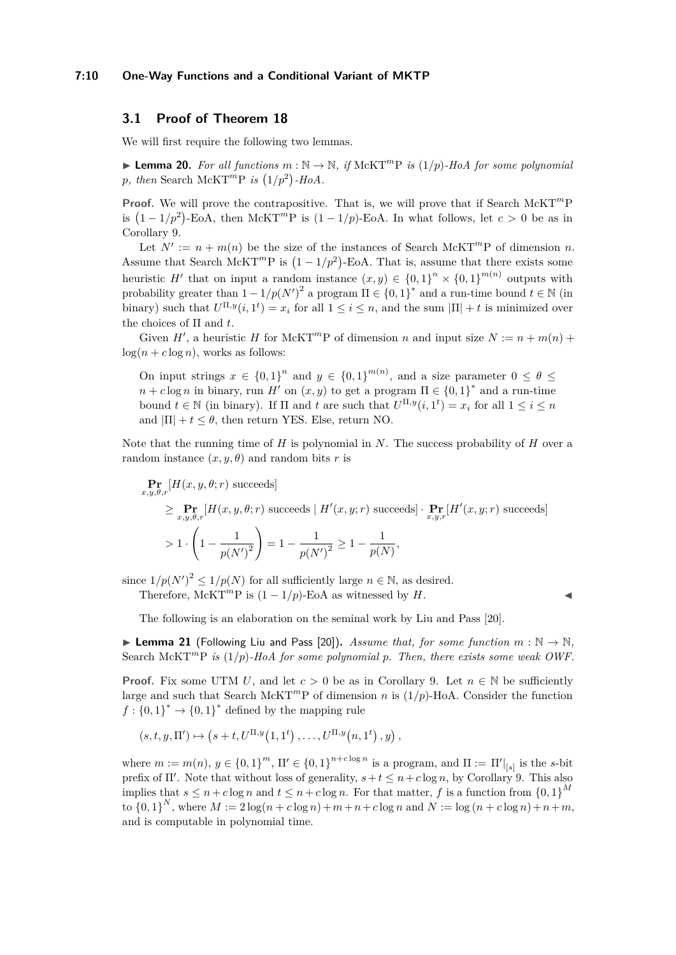#### **7:10 One-Way Functions and a Conditional Variant of MKTP**

# **3.1 Proof of Theorem [18](#page-8-3)**

<span id="page-9-0"></span>We will first require the following two lemmas.

▶ **Lemma 20.** For all functions  $m : \mathbb{N} \to \mathbb{N}$ , if McKT<sup>m</sup>P is  $(1/p)$ -HoA for some polynomial p, then Search McKT<sup>*m*</sup>P *is*  $(1/p^2)$ -HoA.

**Proof.** We will prove the contrapositive. That is, we will prove that if Search McKT*<sup>m</sup>*P is  $(1 - 1/p^2)$ -EoA, then McKT<sup>*m*</sup>P is  $(1 - 1/p)$ -EoA. In what follows, let  $c > 0$  be as in Corollary [9.](#page-7-3)

Let  $N' := n + m(n)$  be the size of the instances of Search McKT<sup>m</sup>P of dimension *n*. Assume that Search McKT<sup>*m*</sup>P is  $(1 - 1/p^2)$ -EoA. That is, assume that there exists some heuristic *H'* that on input a random instance  $(x, y) \in \{0, 1\}^n \times \{0, 1\}^{m(n)}$  outputs with probability greater than  $1 - 1/p(N')^2$  a program  $\Pi \in \{0,1\}^*$  and a run-time bound  $t \in \mathbb{N}$  (in binary) such that  $U^{\Pi,y}(i,1^t) = x_i$  for all  $1 \leq i \leq n$ , and the sum  $|\Pi| + t$  is minimized over the choices of Π and *t*.

Given *H'*, a heuristic *H* for McKT<sup>*m*</sup>P of dimension *n* and input size  $N := n + m(n) +$  $log(n + c \log n)$ , works as follows:

On input strings  $x \in \{0,1\}^n$  and  $y \in \{0,1\}^{m(n)}$ , and a size parameter  $0 \le \theta \le$  $n + c \log n$  in binary, run *H'* on  $(x, y)$  to get a program  $\Pi \in \{0, 1\}^*$  and a run-time bound  $t \in \mathbb{N}$  (in binary). If  $\Pi$  and  $t$  are such that  $U^{\Pi,y}(i,1^t) = x_i$  for all  $1 \le i \le n$ and  $|\Pi| + t \leq \theta$ , then return YES. Else, return NO.

Note that the running time of *H* is polynomial in *N*. The success probability of *H* over a random instance  $(x, y, \theta)$  and random bits *r* is

$$
\begin{aligned}\n&\Pr_{x,y,\theta,r}[H(x,y,\theta;r) \text{ succeeds}] \\
&\geq \Pr_{x,y,\theta,r}[H(x,y,\theta;r) \text{ succeeds} \mid H'(x,y;r) \text{ succeeds}] \cdot \Pr_{x,y,r}[H'(x,y;r) \text{ succeeds}] \\
&> 1 \cdot \left(1 - \frac{1}{p(N')^2}\right) = 1 - \frac{1}{p(N')^2} \geq 1 - \frac{1}{p(N)},\n\end{aligned}
$$

since  $1/p(N')^2 \leq 1/p(N)$  for all sufficiently large  $n \in \mathbb{N}$ , as desired.

Therefore, McKT<sup>*m*</sup>P is  $(1 - 1/p)$ -EoA as witnessed by *H*.

The following is an elaboration on the seminal work by Liu and Pass [\[20\]](#page-13-3).

<span id="page-9-1"></span>▶ **Lemma 21** (Following Liu and Pass [\[20\]](#page-13-3)). *Assume that, for some function*  $m : \mathbb{N} \to \mathbb{N}$ , Search McKT<sup>*m*</sup>P *is*  $(1/p)$ *-HoA for some polynomial p. Then, there exists some weak OWF.* 

**Proof.** Fix some UTM *U*, and let  $c > 0$  be as in Corollary [9.](#page-7-3) Let  $n \in \mathbb{N}$  be sufficiently large and such that Search McKT<sup>*m*</sup>P of dimension *n* is  $(1/p)$ -HoA. Consider the function  $f: \{0,1\}^* \to \{0,1\}^*$  defined by the mapping rule

$$
(s, t, y, \Pi') \mapsto (s + t, U^{\Pi, y}(1, 1^t), \dots, U^{\Pi, y}(n, 1^t), y),
$$

where  $m := m(n)$ ,  $y \in \{0,1\}^m$ ,  $\Pi' \in \{0,1\}^{n+c \log n}$  is a program, and  $\Pi := \Pi'|_{[s]}$  is the *s*-bit prefix of  $\Pi'$ . Note that without loss of generality,  $s+t \leq n+c \log n$ , by Corollary [9.](#page-7-3) This also implies that  $s \leq n + c \log n$  and  $t \leq n + c \log n$ . For that matter, f is a function from  $\{0,1\}^M$ to  $\{0,1\}^N$ , where  $M := 2 \log(n + c \log n) + m + n + c \log n$  and  $N := \log(n + c \log n) + n + m$ , and is computable in polynomial time.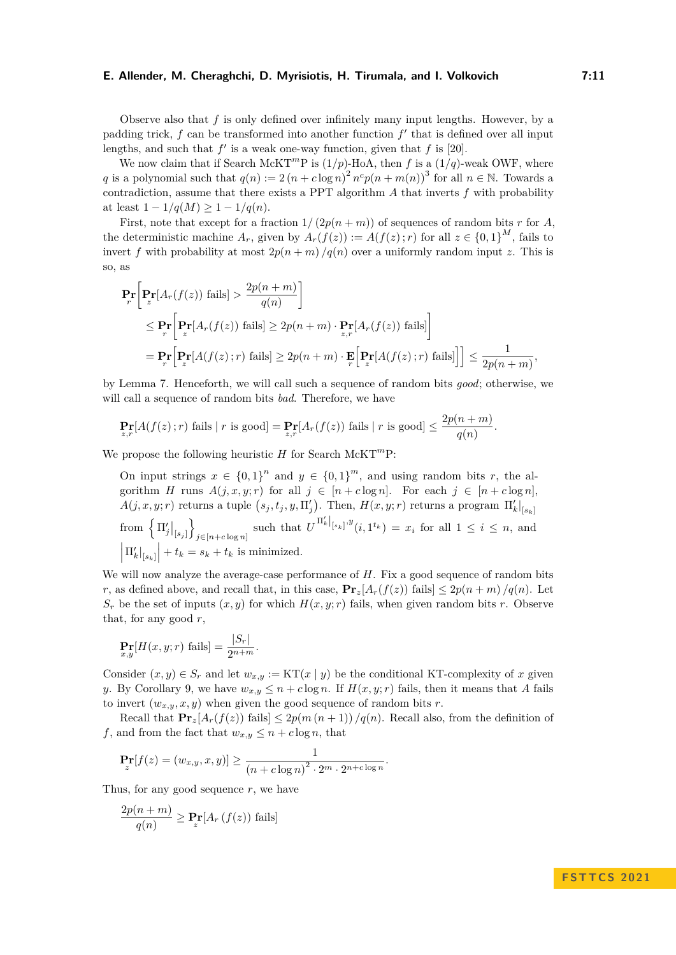Observe also that *f* is only defined over infinitely many input lengths. However, by a padding trick,  $f$  can be transformed into another function  $f'$  that is defined over all input lengths, and such that  $f'$  is a weak one-way function, given that  $f$  is [\[20\]](#page-13-3).

We now claim that if Search McKT<sup>*m*</sup>P is  $(1/p)$ -HoA, then *f* is a  $(1/q)$ -weak OWF, where *q* is a polynomial such that  $q(n) := 2(n + c \log n)^2 n^c p(n + m(n))^3$  for all  $n \in \mathbb{N}$ . Towards a contradiction, assume that there exists a PPT algorithm *A* that inverts *f* with probability at least  $1 - 1/q(M) > 1 - 1/q(n)$ .

First, note that except for a fraction  $1/(2p(n+m))$  of sequences of random bits *r* for *A*, the deterministic machine  $A_r$ , given by  $A_r(f(z)) := A(f(z); r)$  for all  $z \in \{0,1\}^M$ , fails to invert *f* with probability at most  $2p(n+m)/q(n)$  over a uniformly random input *z*. This is so, as

$$
\begin{split} \mathbf{Pr}_{r} \bigg[ & \mathbf{Pr}_{z} \Big[ A_{r}(f(z)) \text{ fails} \Big] > \frac{2p(n+m)}{q(n)} \bigg] \\ &\leq \mathbf{Pr}_{r} \bigg[ \mathbf{Pr}_{z} \big[ A_{r}(f(z)) \text{ fails} \big] \geq 2p(n+m) \cdot \mathbf{Pr}_{z,r} \big[ A_{r}(f(z)) \text{ fails} \big] \bigg] \\ &= \mathbf{Pr}_{r} \big[ \mathbf{Pr}_{z} \big[ A(f(z);r) \text{ fails} \big] \geq 2p(n+m) \cdot \mathbf{E}_{r} \big[ \mathbf{Pr}_{z} \big[ A(f(z);r) \text{ fails} \big] \big] \bigg] \leq \frac{1}{2p(n+m)}, \end{split}
$$

by Lemma [7.](#page-6-0) Henceforth, we will call such a sequence of random bits *good*; otherwise, we will call a sequence of random bits *bad*. Therefore, we have

$$
\Pr_{z,r}[A(f(z);r) \text{ fails} | r \text{ is good}] = \Pr_{z,r}[A_r(f(z)) \text{ fails} | r \text{ is good}] \le \frac{2p(n+m)}{q(n)}.
$$

We propose the following heuristic *H* for Search McKT<sup>*m*</sup>P:

On input strings  $x \in \{0,1\}^n$  and  $y \in \{0,1\}^m$ , and using random bits *r*, the algorithm *H* runs  $A(j, x, y; r)$  for all  $j \in [n + c \log n]$ . For each  $j \in [n + c \log n]$ ,  $A(j, x, y; r)$  returns a tuple  $(s_j, t_j, y, \Pi'_j)$ . Then,  $H(x, y; r)$  returns a program  $\left. \Pi'_k \right|_{[s_k]}$ from  $\left\{\left. \Pi'_j \right|_{[s_j]} \right\}$ o  $j \in [n+c \log n]$  such that  $U^{\Pi'_{k}}|_{[s_{k}]}^{y}$   $(i, 1^{t_{k}}) = x_{i}$  for all  $1 \leq i \leq n$ , and  $\left| \Pi'_k \right|_{[s_k]} \Big| + t_k = s_k + t_k$  is minimized.

We will now analyze the average-case performance of *H*. Fix a good sequence of random bits *r*, as defined above, and recall that, in this case,  $\mathbf{Pr}_z[A_r(f(z))$  fails]  $\leq 2p(n+m)/q(n)$ . Let  $S_r$  be the set of inputs  $(x, y)$  for which  $H(x, y; r)$  fails, when given random bits *r*. Observe that, for any good *r*,

$$
\Pr_{x,y}[H(x,y;r) \text{ fails}] = \frac{|S_r|}{2^{n+m}}.
$$

Consider  $(x, y) \in S_r$  and let  $w_{x,y} := \text{KT}(x \mid y)$  be the conditional KT-complexity of *x* given *y*. By Corollary [9,](#page-7-3) we have  $w_{x,y} \leq n + c \log n$ . If  $H(x, y; r)$  fails, then it means that *A* fails to invert  $(w_{x,y}, x, y)$  when given the good sequence of random bits *r*.

Recall that  $\mathbf{Pr}_z[A_r(f(z))]$  fails  $\leq 2p(m(n+1))/q(n)$ . Recall also, from the definition of *f*, and from the fact that  $w_{x,y} \leq n + c \log n$ , that

$$
\Pr_z[f(z) = (w_{x,y}, x, y)] \ge \frac{1}{(n + c \log n)^2 \cdot 2^m \cdot 2^{n + c \log n}}.
$$

Thus, for any good sequence *r*, we have

$$
\frac{2p(n+m)}{q(n)} \ge \Pr_z[A_r(f(z)) \text{ fails}]
$$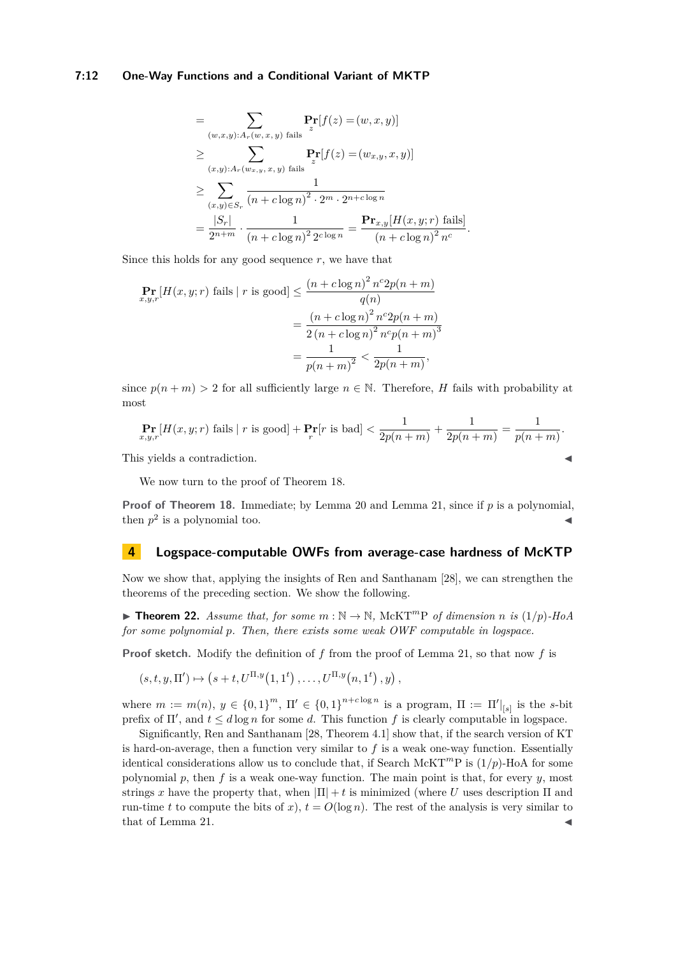#### **7:12 One-Way Functions and a Conditional Variant of MKTP**

$$
= \sum_{(w,x,y):A_r(w,x,y) \text{ fails}} \mathbf{Pr}[f(z) = (w, x, y)]
$$
  
\n
$$
\geq \sum_{(x,y):A_r(w_{x,y}, x, y) \text{ fails}} \mathbf{Pr}[f(z) = (w_{x,y}, x, y)]
$$
  
\n
$$
\geq \sum_{(x,y)\in S_r} \frac{1}{(n + c \log n)^2 \cdot 2^m \cdot 2^{n + c \log n}}
$$
  
\n
$$
= \frac{|S_r|}{2^{n+m}} \cdot \frac{1}{(n + c \log n)^2 2^{c \log n}} = \frac{\mathbf{Pr}_{x,y}[H(x,y; r) \text{ fails}]}{(n + c \log n)^2 n^c}.
$$

Since this holds for any good sequence  $r$ , we have that

$$
\Pr_{x,y,r}[H(x,y;r) \text{ fails } | \ r \text{ is good}] \le \frac{(n + c \log n)^2 n^c 2p(n + m)}{q(n)} \\
= \frac{(n + c \log n)^2 n^c 2p(n + m)}{2(n + c \log n)^2 n^c p(n + m)^3} \\
= \frac{1}{p(n + m)^2} < \frac{1}{2p(n + m)},
$$

since  $p(n+m) > 2$  for all sufficiently large  $n \in \mathbb{N}$ . Therefore, *H* fails with probability at most

$$
\Pr_{x,y,r}[H(x,y;r) \text{ fails} | r \text{ is good}] + \Pr_r[r \text{ is bad}] < \frac{1}{2p(n+m)} + \frac{1}{2p(n+m)} = \frac{1}{p(n+m)}.
$$

This yields a contradiction.

We now turn to the proof of Theorem [18.](#page-8-3)

**Proof of Theorem [18.](#page-8-3)** Immediate; by Lemma [20](#page-9-0) and Lemma [21,](#page-9-1) since if *p* is a polynomial, then  $p^2$  is a polynomial too.

# <span id="page-11-0"></span>**4 Logspace-computable OWFs from average-case hardness of McKTP**

Now we show that, applying the insights of Ren and Santhanam [\[28\]](#page-13-0), we can strengthen the theorems of the preceding section. We show the following.

<span id="page-11-1"></span> $\blacktriangleright$  **Theorem 22.** *Assume that, for some*  $m : \mathbb{N} \to \mathbb{N}$ , McKT<sup>m</sup>P *of dimension n is* (1/p)-HoA *for some polynomial p. Then, there exists some weak OWF computable in logspace.*

**Proof sketch.** Modify the definition of *f* from the proof of Lemma [21,](#page-9-1) so that now *f* is

$$
(s, t, y, \Pi') \mapsto (s + t, U^{\Pi, y}(1, 1^t), \dots, U^{\Pi, y}(n, 1^t), y),
$$

where  $m := m(n)$ ,  $y \in \{0,1\}^m$ ,  $\Pi' \in \{0,1\}^{n+c \log n}$  is a program,  $\Pi := \Pi'|_{[s]}$  is the *s*-bit prefix of  $\Pi'$ , and  $t \leq d \log n$  for some *d*. This function f is clearly computable in logspace.

Significantly, Ren and Santhanam [\[28,](#page-13-0) Theorem 4.1] show that, if the search version of KT is hard-on-average, then a function very similar to  $f$  is a weak one-way function. Essentially identical considerations allow us to conclude that, if Search McKT<sup>*m*</sup>P is  $(1/p)$ -HoA for some polynomial  $p$ , then  $f$  is a weak one-way function. The main point is that, for every  $y$ , most strings *x* have the property that, when  $|\Pi| + t$  is minimized (where *U* uses description  $\Pi$  and run-time *t* to compute the bits of *x*),  $t = O(\log n)$ . The rest of the analysis is very similar to that of Lemma [21.](#page-9-1)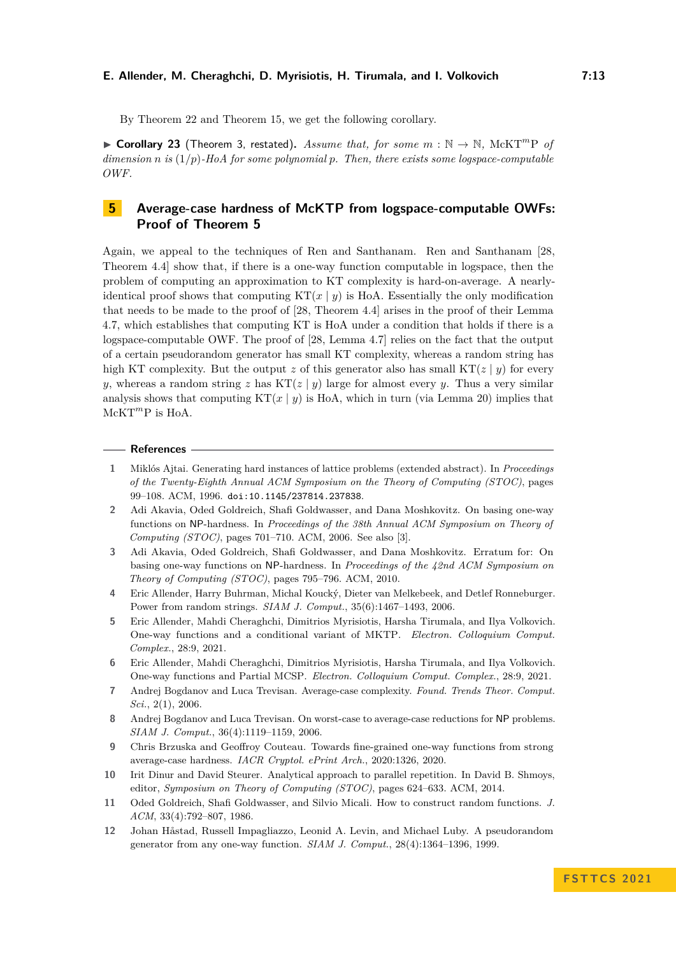By Theorem [22](#page-11-1) and Theorem [15,](#page-8-4) we get the following corollary.

▶ **Corollary 23** (Theorem [3,](#page-3-3) restated). Assume that, for some  $m : \mathbb{N} \to \mathbb{N}$ , McKT<sup>m</sup>P of *dimension n is* (1*/p*)*-HoA for some polynomial p. Then, there exists some logspace-computable OWF.*

# <span id="page-12-10"></span>**5 Average-case hardness of McKTP from logspace-computable OWFs: Proof of Theorem [5](#page-3-4)**

Again, we appeal to the techniques of Ren and Santhanam. Ren and Santhanam [\[28,](#page-13-0) Theorem 4.4] show that, if there is a one-way function computable in logspace, then the problem of computing an approximation to KT complexity is hard-on-average. A nearlyidentical proof shows that computing  $KT(x | y)$  is HoA. Essentially the only modification that needs to be made to the proof of [\[28,](#page-13-0) Theorem 4.4] arises in the proof of their Lemma 4.7, which establishes that computing KT is HoA under a condition that holds if there is a logspace-computable OWF. The proof of [\[28,](#page-13-0) Lemma 4.7] relies on the fact that the output of a certain pseudorandom generator has small KT complexity, whereas a random string has high KT complexity. But the output *z* of this generator also has small KT( $z | y$ ) for every *y*, whereas a random string *z* has  $KT(z | y)$  large for almost every *y*. Thus a very similar analysis shows that computing  $KT(x | y)$  is HoA, which in turn (via Lemma [20\)](#page-9-0) implies that McKT*<sup>m</sup>*P is HoA.

#### **References**

- <span id="page-12-8"></span>**1** Miklós Ajtai. Generating hard instances of lattice problems (extended abstract). In *Proceedings of the Twenty-Eighth Annual ACM Symposium on the Theory of Computing (STOC)*, pages 99–108. ACM, 1996. [doi:10.1145/237814.237838](https://doi.org/10.1145/237814.237838).
- <span id="page-12-4"></span>**2** Adi Akavia, Oded Goldreich, Shafi Goldwasser, and Dana Moshkovitz. On basing one-way functions on NP-hardness. In *Proceedings of the 38th Annual ACM Symposium on Theory of Computing (STOC)*, pages 701–710. ACM, 2006. See also [\[3\]](#page-12-11).
- <span id="page-12-11"></span>**3** Adi Akavia, Oded Goldreich, Shafi Goldwasser, and Dana Moshkovitz. Erratum for: On basing one-way functions on NP-hardness. In *Proceedings of the 42nd ACM Symposium on Theory of Computing (STOC)*, pages 795–796. ACM, 2010.
- <span id="page-12-1"></span>**4** Eric Allender, Harry Buhrman, Michal Koucký, Dieter van Melkebeek, and Detlef Ronneburger. Power from random strings. *SIAM J. Comput.*, 35(6):1467–1493, 2006.
- <span id="page-12-3"></span>**5** Eric Allender, Mahdi Cheraghchi, Dimitrios Myrisiotis, Harsha Tirumala, and Ilya Volkovich. One-way functions and a conditional variant of MKTP. *Electron. Colloquium Comput. Complex.*, 28:9, 2021.
- <span id="page-12-2"></span>**6** Eric Allender, Mahdi Cheraghchi, Dimitrios Myrisiotis, Harsha Tirumala, and Ilya Volkovich. One-way functions and Partial MCSP. *Electron. Colloquium Comput. Complex.*, 28:9, 2021.
- <span id="page-12-6"></span>**7** Andrej Bogdanov and Luca Trevisan. Average-case complexity. *Found. Trends Theor. Comput. Sci.*, 2(1), 2006.
- <span id="page-12-5"></span>**8** Andrej Bogdanov and Luca Trevisan. On worst-case to average-case reductions for NP problems. *SIAM J. Comput.*, 36(4):1119–1159, 2006.
- <span id="page-12-7"></span>**9** Chris Brzuska and Geoffroy Couteau. Towards fine-grained one-way functions from strong average-case hardness. *IACR Cryptol. ePrint Arch.*, 2020:1326, 2020.
- <span id="page-12-12"></span>**10** Irit Dinur and David Steurer. Analytical approach to parallel repetition. In David B. Shmoys, editor, *Symposium on Theory of Computing (STOC)*, pages 624–633. ACM, 2014.
- <span id="page-12-9"></span>**11** Oded Goldreich, Shafi Goldwasser, and Silvio Micali. How to construct random functions. *J. ACM*, 33(4):792–807, 1986.
- <span id="page-12-0"></span>**12** Johan Håstad, Russell Impagliazzo, Leonid A. Levin, and Michael Luby. A pseudorandom generator from any one-way function. *SIAM J. Comput.*, 28(4):1364–1396, 1999.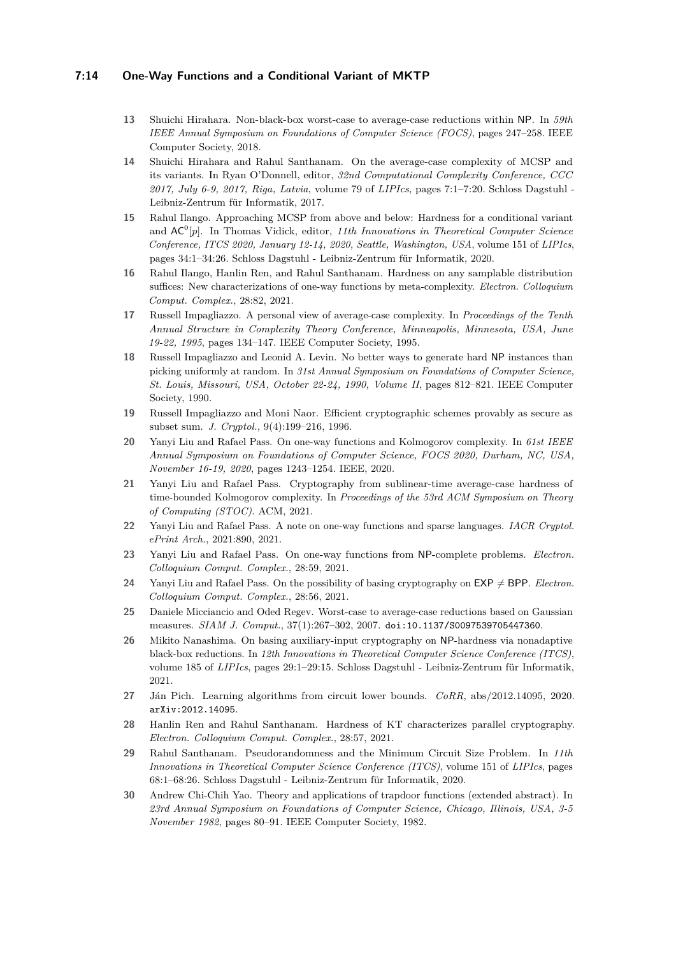#### **7:14 One-Way Functions and a Conditional Variant of MKTP**

- <span id="page-13-13"></span>**13** Shuichi Hirahara. Non-black-box worst-case to average-case reductions within NP. In *59th IEEE Annual Symposium on Foundations of Computer Science (FOCS)*, pages 247–258. IEEE Computer Society, 2018.
- <span id="page-13-11"></span>**14** Shuichi Hirahara and Rahul Santhanam. On the average-case complexity of MCSP and its variants. In Ryan O'Donnell, editor, *32nd Computational Complexity Conference, CCC 2017, July 6-9, 2017, Riga, Latvia*, volume 79 of *LIPIcs*, pages 7:1–7:20. Schloss Dagstuhl - Leibniz-Zentrum für Informatik, 2017.
- <span id="page-13-16"></span>**15** Rahul Ilango. Approaching MCSP from above and below: Hardness for a conditional variant and  $AC^0[p]$ . In Thomas Vidick, editor, 11th Innovations in Theoretical Computer Science *Conference, ITCS 2020, January 12-14, 2020, Seattle, Washington, USA*, volume 151 of *LIPIcs*, pages 34:1–34:26. Schloss Dagstuhl - Leibniz-Zentrum für Informatik, 2020.
- <span id="page-13-8"></span>**16** Rahul Ilango, Hanlin Ren, and Rahul Santhanam. Hardness on any samplable distribution suffices: New characterizations of one-way functions by meta-complexity. *Electron. Colloquium Comput. Complex.*, 28:82, 2021.
- <span id="page-13-15"></span>**17** Russell Impagliazzo. A personal view of average-case complexity. In *Proceedings of the Tenth Annual Structure in Complexity Theory Conference, Minneapolis, Minnesota, USA, June 19-22, 1995*, pages 134–147. IEEE Computer Society, 1995.
- <span id="page-13-1"></span>**18** Russell Impagliazzo and Leonid A. Levin. No better ways to generate hard NP instances than picking uniformly at random. In *31st Annual Symposium on Foundations of Computer Science, St. Louis, Missouri, USA, October 22-24, 1990, Volume II*, pages 812–821. IEEE Computer Society, 1990.
- <span id="page-13-6"></span>**19** Russell Impagliazzo and Moni Naor. Efficient cryptographic schemes provably as secure as subset sum. *J. Cryptol.*, 9(4):199–216, 1996.
- <span id="page-13-3"></span>**20** Yanyi Liu and Rafael Pass. On one-way functions and Kolmogorov complexity. In *61st IEEE Annual Symposium on Foundations of Computer Science, FOCS 2020, Durham, NC, USA, November 16-19, 2020*, pages 1243–1254. IEEE, 2020.
- <span id="page-13-7"></span>**21** Yanyi Liu and Rafael Pass. Cryptography from sublinear-time average-case hardness of time-bounded Kolmogorov complexity. In *Proceedings of the 53rd ACM Symposium on Theory of Computing (STOC)*. ACM, 2021.
- <span id="page-13-9"></span>**22** Yanyi Liu and Rafael Pass. A note on one-way functions and sparse languages. *IACR Cryptol. ePrint Arch.*, 2021:890, 2021.
- <span id="page-13-4"></span>**23** Yanyi Liu and Rafael Pass. On one-way functions from NP-complete problems. *Electron. Colloquium Comput. Complex.*, 28:59, 2021.
- <span id="page-13-5"></span>**24** Yanyi Liu and Rafael Pass. On the possibility of basing cryptography on  $\mathsf{EXP} \neq \mathsf{BPP}$ . *Electron. Colloquium Comput. Complex.*, 28:56, 2021.
- <span id="page-13-14"></span>**25** Daniele Micciancio and Oded Regev. Worst-case to average-case reductions based on Gaussian measures. *SIAM J. Comput.*, 37(1):267–302, 2007. [doi:10.1137/S0097539705447360](https://doi.org/10.1137/S0097539705447360).
- <span id="page-13-10"></span>**26** Mikito Nanashima. On basing auxiliary-input cryptography on NP-hardness via nonadaptive black-box reductions. In *12th Innovations in Theoretical Computer Science Conference (ITCS)*, volume 185 of *LIPIcs*, pages 29:1–29:15. Schloss Dagstuhl - Leibniz-Zentrum für Informatik, 2021.
- <span id="page-13-2"></span>**27** Ján Pich. Learning algorithms from circuit lower bounds. *CoRR*, abs/2012.14095, 2020. [arXiv:2012.14095](http://arxiv.org/abs/2012.14095).
- <span id="page-13-0"></span>**28** Hanlin Ren and Rahul Santhanam. Hardness of KT characterizes parallel cryptography. *Electron. Colloquium Comput. Complex.*, 28:57, 2021.
- <span id="page-13-12"></span>**29** Rahul Santhanam. Pseudorandomness and the Minimum Circuit Size Problem. In *11th Innovations in Theoretical Computer Science Conference (ITCS)*, volume 151 of *LIPIcs*, pages 68:1–68:26. Schloss Dagstuhl - Leibniz-Zentrum für Informatik, 2020.
- <span id="page-13-17"></span>**30** Andrew Chi-Chih Yao. Theory and applications of trapdoor functions (extended abstract). In *23rd Annual Symposium on Foundations of Computer Science, Chicago, Illinois, USA, 3-5 November 1982*, pages 80–91. IEEE Computer Society, 1982.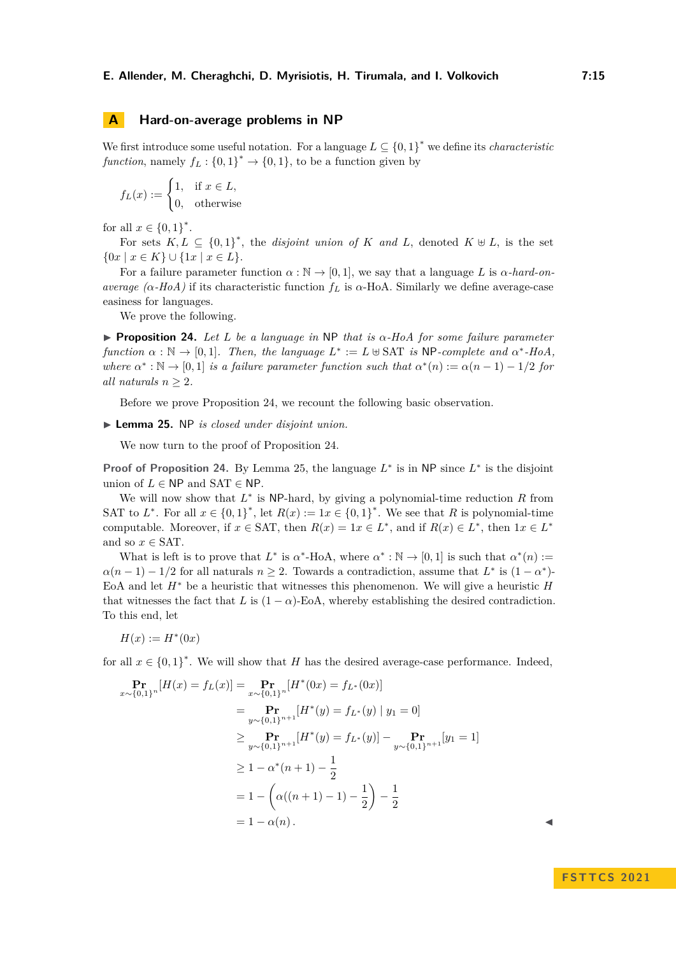We first introduce some useful notation. For a language  $L \subseteq \{0,1\}^*$  we define its *characteristic function*, namely  $f_L: \{0,1\}^* \to \{0,1\}$ , to be a function given by

$$
f_L(x) := \begin{cases} 1, & \text{if } x \in L, \\ 0, & \text{otherwise} \end{cases}
$$

for all  $x \in \{0,1\}^*$ .

For sets  $K, L \subseteq \{0,1\}^*$ , the *disjoint union of*  $K$  *and*  $L$ , denoted  $K \oplus L$ , is the set  $\{0x \mid x \in K\} \cup \{1x \mid x \in L\}.$ 

For a failure parameter function  $\alpha : \mathbb{N} \to [0,1]$ , we say that a language L is  $\alpha$ -hard-on*average (* $\alpha$ *-HoA)* if its characteristic function  $f_L$  is  $\alpha$ -HoA. Similarly we define average-case easiness for languages.

We prove the following.

<span id="page-14-0"></span>▶ **Proposition 24.** *Let L be a language in* NP *that is α-HoA for some failure parameter function*  $\alpha : \mathbb{N} \to [0,1]$ *. Then, the language*  $L^* := L \cup \text{SAT }$  *is* NP-complete and  $\alpha^*$ -HoA, *where*  $\alpha^* : \mathbb{N} \to [0,1]$  *is a failure parameter function such that*  $\alpha^*(n) := \alpha(n-1) - 1/2$  *for all naturals*  $n > 2$ .

Before we prove Proposition [24,](#page-14-0) we recount the following basic observation.

<span id="page-14-1"></span>▶ **Lemma 25.** NP *is closed under disjoint union.*

We now turn to the proof of Proposition [24.](#page-14-0)

**Proof of Proposition [24.](#page-14-0)** By Lemma [25,](#page-14-1) the language  $L^*$  is in NP since  $L^*$  is the disjoint union of  $L \in \mathsf{NP}$  and  $\mathsf{SAT} \in \mathsf{NP}$ .

We will now show that  $L^*$  is NP-hard, by giving a polynomial-time reduction  $R$  from SAT to  $L^*$ . For all  $x \in \{0,1\}^*$ , let  $R(x) := 1x \in \{0,1\}^*$ . We see that R is polynomial-time computable. Moreover, if  $x \in SAT$ , then  $R(x) = 1x \in L^*$ , and if  $R(x) \in L^*$ , then  $1x \in L^*$ and so  $x \in SAT$ .

What is left is to prove that  $L^*$  is  $\alpha^*$ -HoA, where  $\alpha^*: \mathbb{N} \to [0,1]$  is such that  $\alpha^*(n) :=$  $\alpha(n-1) - 1/2$  for all naturals  $n \geq 2$ . Towards a contradiction, assume that  $L^*$  is  $(1 - \alpha^*)$ EoA and let *H*<sup>∗</sup> be a heuristic that witnesses this phenomenon. We will give a heuristic *H* that witnesses the fact that *L* is  $(1 - \alpha)$ -EoA, whereby establishing the desired contradiction. To this end, let

$$
H(x) := H^*(0x)
$$

for all  $x \in \{0,1\}^*$ . We will show that *H* has the desired average-case performance. Indeed,

$$
\begin{aligned}\n\mathbf{Pr}_{x \sim \{0,1\}^n} [H(x) = f_L(x)] &= \mathbf{Pr}_{x \sim \{0,1\}^n} [H^*(0x) = f_{L^*}(0x)] \\
&= \mathbf{Pr}_{y \sim \{0,1\}^{n+1}} [H^*(y) = f_{L^*}(y) \mid y_1 = 0] \\
&\ge \mathbf{Pr}_{y \sim \{0,1\}^{n+1}} [H^*(y) = f_{L^*}(y)] - \mathbf{Pr}_{y \sim \{0,1\}^{n+1}} [y_1 = 1] \\
&\ge 1 - \alpha^*(n+1) - \frac{1}{2} \\
&= 1 - \left(\alpha((n+1) - 1) - \frac{1}{2}\right) - \frac{1}{2} \\
&= 1 - \alpha(n).\n\end{aligned}
$$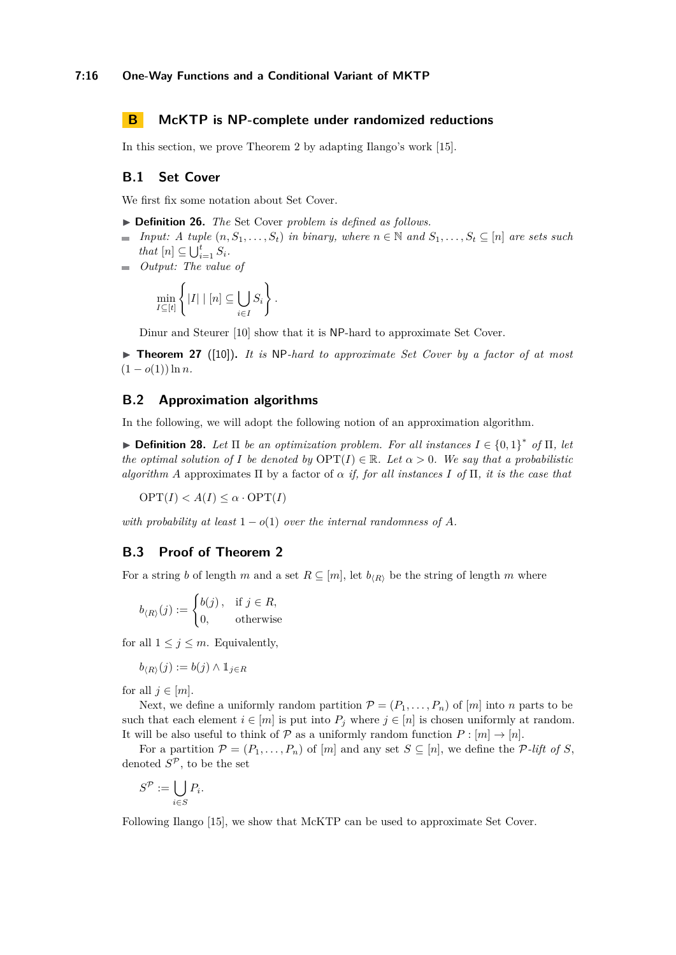# <span id="page-15-0"></span>**B McKTP is NP-complete under randomized reductions**

In this section, we prove Theorem [2](#page-3-1) by adapting Ilango's work [\[15\]](#page-13-16).

#### **B.1 Set Cover**

We first fix some notation about Set Cover.

▶ **Definition 26.** *The* Set Cover *problem is defined as follows.*

- *Input: A tuple*  $(n, S_1, \ldots, S_t)$  *in binary, where*  $n \in \mathbb{N}$  *and*  $S_1, \ldots, S_t \subseteq [n]$  *are sets such*  $\bar{a}$ *that*  $[n] \subseteq \bigcup_{i=1}^{t} S_i$ *.*
- *Output: The value of*

$$
\min_{I \subseteq [t]} \left\{ |I| \mid [n] \subseteq \bigcup_{i \in I} S_i \right\}.
$$

Dinur and Steurer [\[10\]](#page-12-12) show that it is NP-hard to approximate Set Cover.

<span id="page-15-3"></span>▶ **Theorem 27** ([\[10\]](#page-12-12))**.** *It is* NP*-hard to approximate Set Cover by a factor of at most*  $(1 - o(1)) \ln n$ .

### **B.2 Approximation algorithms**

In the following, we will adopt the following notion of an approximation algorithm.

<span id="page-15-2"></span>▶ **Definition 28.** *Let*  $\Pi$  *be an optimization problem. For all instances*  $I \in \{0, 1\}^*$  *of*  $\Pi$ *, let the optimal solution of I be denoted by*  $\text{OPT}(I) \in \mathbb{R}$ *. Let*  $\alpha > 0$ *. We say that a probabilistic algorithm A* approximates  $\Pi$  by a factor of  $\alpha$  *if, for all instances*  $I$  *of*  $\Pi$ *, it is the case that* 

 $OPT(I) < A(I) \leq \alpha \cdot OPT(I)$ 

*with probability at least*  $1 - o(1)$  *over the internal randomness of* A.

# **B.3 Proof of Theorem [2](#page-3-1)**

For a string *b* of length *m* and a set  $R \subseteq [m]$ , let  $b_{(R)}$  be the string of length *m* where

$$
b_{\langle R \rangle}(j) := \begin{cases} b(j), & \text{if } j \in R, \\ 0, & \text{otherwise} \end{cases}
$$

for all  $1 \leq j \leq m$ . Equivalently,

$$
b_{\langle R \rangle}(j) := b(j) \wedge \mathbb{1}_{j \in R}
$$

for all  $j \in [m]$ .

Next, we define a uniformly random partition  $\mathcal{P} = (P_1, \ldots, P_n)$  of  $[m]$  into *n* parts to be such that each element  $i \in [m]$  is put into  $P_j$  where  $j \in [n]$  is chosen uniformly at random. It will be also useful to think of  $P$  as a uniformly random function  $P : [m] \to [n]$ .

For a partition  $\mathcal{P} = (P_1, \ldots, P_n)$  of  $[m]$  and any set  $S \subseteq [n]$ , we define the P-lift of *S*, denoted  $S^{\mathcal{P}}$ , to be the set

$$
S^{\mathcal{P}} := \bigcup_{i \in S} P_i.
$$

<span id="page-15-1"></span>Following Ilango [\[15\]](#page-13-16), we show that McKTP can be used to approximate Set Cover.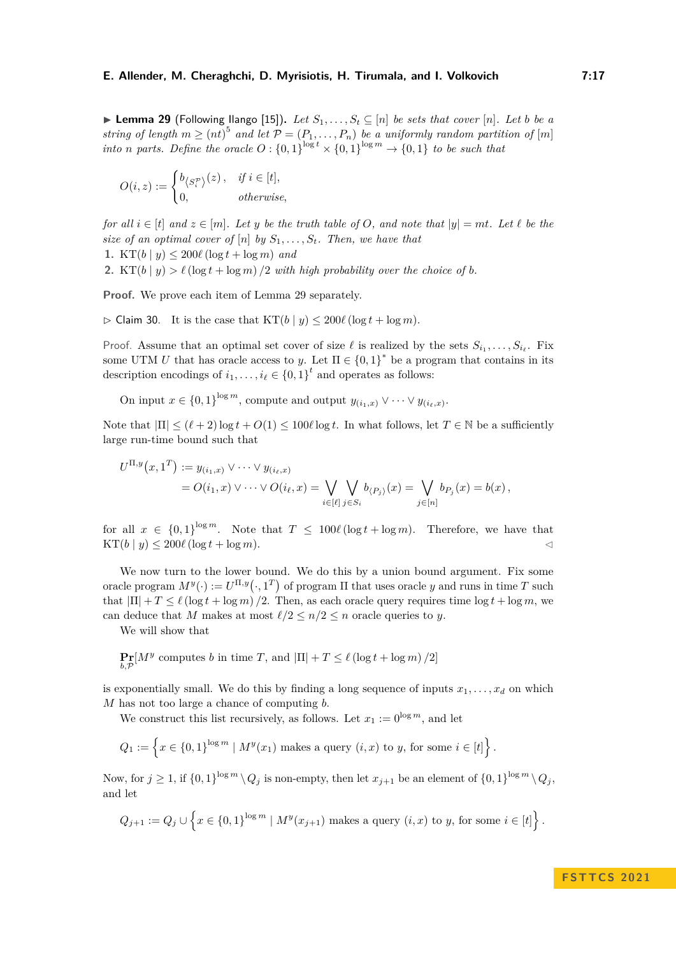▶ **Lemma 29** (Following Ilango [\[15\]](#page-13-16)). Let  $S_1, \ldots, S_t$  ⊆ [*n*] *be sets that cover* [*n*]. Let *b be a string of length*  $m \geq (nt)^5$  *and let*  $\mathcal{P} = (P_1, \ldots, P_n)$  *be a uniformly random partition of* [*m*] *into n parts.* Define the oracle  $O: \{0,1\}^{\log t} \times \{0,1\}^{\log m} \to \{0,1\}$  to be such that

$$
O(i, z) := \begin{cases} b_{\langle S_i^{\mathcal{P}} \rangle}(z), & \text{if } i \in [t], \\ 0, & \text{otherwise,} \end{cases}
$$

*for all*  $i \in [t]$  *and*  $z \in [m]$ *. Let y be the truth table of O, and note that*  $|y| = mt$ *. Let*  $\ell$  *be the size of an optimal cover of*  $[n]$  *by*  $S_1, \ldots, S_t$ *. Then, we have that* 

1. KT $(b | y) \leq 200\ell \left(\log t + \log m\right)$  *and* 

**2.** KT(b | y)  $> l$  (log t + log m) /2 *with high probability over the choice of b.* 

**Proof.** We prove each item of Lemma [29](#page-15-1) separately.

 $\triangleright$  Claim 30. It is the case that  $KT(b | y) \leq 200\ell (\log t + \log m)$ .

Proof. Assume that an optimal set cover of size  $\ell$  is realized by the sets  $S_{i_1}, \ldots, S_{i_\ell}$ . Fix some UTM *U* that has oracle access to *y*. Let  $\Pi \in \{0,1\}^*$  be a program that contains in its description encodings of  $i_1, \ldots, i_\ell \in \{0,1\}^t$  and operates as follows:

On input  $x \in \{0,1\}^{\log m}$ , compute and output  $y_{(i_1,x)} \vee \cdots \vee y_{(i_\ell,x)}$ .

Note that  $|\Pi| \leq (\ell+2) \log t + O(1) \leq 100 \ell \log t$ . In what follows, let  $T \in \mathbb{N}$  be a sufficiently large run-time bound such that

$$
U^{\Pi,y}(x,1^T) := y_{(i_1,x)} \vee \cdots \vee y_{(i_\ell,x)}= O(i_1,x) \vee \cdots \vee O(i_\ell,x) = \bigvee_{i \in [\ell]} \bigvee_{j \in S_i} b_{\langle P_j \rangle}(x) = \bigvee_{j \in [n]} b_{P_j}(x) = b(x),
$$

for all  $x \in \{0,1\}^{\log m}$ . Note that  $T \leq 100\ell (\log t + \log m)$ . Therefore, we have that  $KT(b | y) \leq 200\ell (\log t + \log m).$ 

We now turn to the lower bound. We do this by a union bound argument. Fix some oracle program  $M^y(\cdot) := U^{\Pi, y}(\cdot, 1^T)$  of program  $\Pi$  that uses oracle *y* and runs in time *T* such that  $|\Pi| + T \leq \ell (\log t + \log m) / 2$ . Then, as each oracle query requires time  $\log t + \log m$ , we can deduce that *M* makes at most  $\ell/2 \leq n/2 \leq n$  oracle queries to *y*.

We will show that

$$
\Pr_{b,\mathcal{P}}[M^y \text{ computes } b \text{ in time } T \text{, and } |\Pi| + T \le \ell \left(\log t + \log m\right)/2\right]
$$

is exponentially small. We do this by finding a long sequence of inputs  $x_1, \ldots, x_d$  on which *M* has not too large a chance of computing *b*.

We construct this list recursively, as follows. Let  $x_1 := 0^{\log m}$ , and let

$$
Q_1 := \left\{ x \in \{0,1\}^{\log m} \mid M^{y}(x_1) \text{ makes a query } (i,x) \text{ to } y \text{, for some } i \in [t] \right\}.
$$

Now, for  $j \geq 1$ , if  $\{0,1\}^{\log m} \setminus Q_j$  is non-empty, then let  $x_{j+1}$  be an element of  $\{0,1\}^{\log m} \setminus Q_j$ , and let

$$
Q_{j+1} := Q_j \cup \left\{ x \in \{0,1\}^{\log m} \mid M^y(x_{j+1}) \text{ makes a query } (i,x) \text{ to } y \text{, for some } i \in [t] \right\}.
$$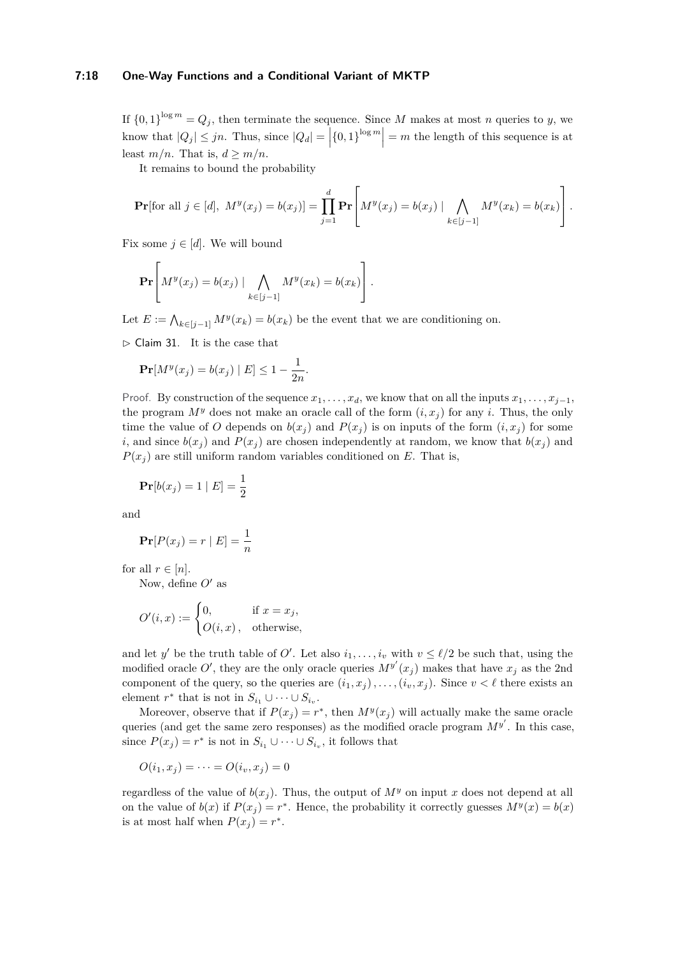#### **7:18 One-Way Functions and a Conditional Variant of MKTP**

If  ${0,1}^{\log m} = Q_j$ , then terminate the sequence. Since M makes at most n queries to y, we know that  $|Q_j| \leq jn$ . Thus, since  $|Q_d| = |\{0,1\}^{\log m}| = m$  the length of this sequence is at least  $m/n$ . That is,  $d \geq m/n$ .

It remains to bound the probability

$$
\Pr[\text{for all } j \in [d], \ M^y(x_j) = b(x_j)] = \prod_{j=1}^d \Pr\left[ M^y(x_j) = b(x_j) \mid \bigwedge_{k \in [j-1]} M^y(x_k) = b(x_k) \right].
$$

Fix some  $j \in [d]$ . We will bound

$$
\Pr\left[M^y(x_j) = b(x_j) \mid \bigwedge_{k \in [j-1]} M^y(x_k) = b(x_k)\right].
$$

Let  $E := \bigwedge_{k \in [j-1]} M^y(x_k) = b(x_k)$  be the event that we are conditioning on.

<span id="page-17-0"></span> $\triangleright$  Claim 31. It is the case that

$$
\Pr[M^y(x_j) = b(x_j) | E] \le 1 - \frac{1}{2n}.
$$

Proof. By construction of the sequence  $x_1, \ldots, x_d$ , we know that on all the inputs  $x_1, \ldots, x_{j-1}$ , the program  $M<sup>y</sup>$  does not make an oracle call of the form  $(i, x<sub>i</sub>)$  for any *i*. Thus, the only time the value of *O* depends on  $b(x_j)$  and  $P(x_j)$  is on inputs of the form  $(i, x_j)$  for some *i*, and since  $b(x_i)$  and  $P(x_i)$  are chosen independently at random, we know that  $b(x_i)$  and  $P(x_i)$  are still uniform random variables conditioned on *E*. That is,

$$
\Pr[b(x_j) = 1 \mid E] = \frac{1}{2}
$$

and

$$
\Pr[P(x_j) = r | E] = \frac{1}{n}
$$

for all  $r \in [n]$ .

Now, define *O*′ as

$$
O'(i, x) := \begin{cases} 0, & \text{if } x = x_j, \\ O(i, x), & \text{otherwise,} \end{cases}
$$

and let *y'* be the truth table of *O'*. Let also  $i_1, \ldots, i_v$  with  $v \leq \ell/2$  be such that, using the modified oracle  $O'$ , they are the only oracle queries  $M^{y'}(x_j)$  makes that have  $x_j$  as the 2nd component of the query, so the queries are  $(i_1, x_j)$ , ..., $(i_v, x_j)$ . Since  $v < l$  there exists an element  $r^*$  that is not in  $S_{i_1} \cup \cdots \cup S_{i_v}$ .

Moreover, observe that if  $P(x_j) = r^*$ , then  $M^y(x_j)$  will actually make the same oracle queries (and get the same zero responses) as the modified oracle program *M<sup>y</sup>* ′ . In this case, since  $P(x_j) = r^*$  is not in  $S_{i_1} \cup \cdots \cup S_{i_v}$ , it follows that

$$
O(i_1, x_j) = \cdots = O(i_v, x_j) = 0
$$

regardless of the value of  $b(x_i)$ . Thus, the output of  $M<sup>y</sup>$  on input *x* does not depend at all on the value of  $b(x)$  if  $P(x_j) = r^*$ . Hence, the probability it correctly guesses  $M^y(x) = b(x)$ is at most half when  $P(x_j) = r^*$ .